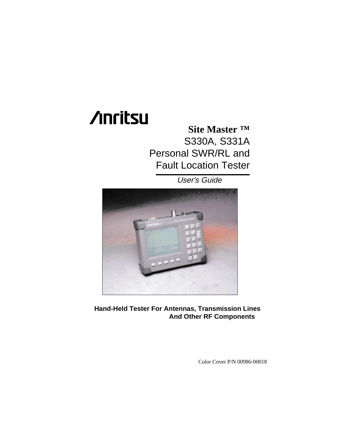# **/inritsu**

**Site Master ™** S330A, S331A Personal SWR/RL and Fault Location Tester

User's Guide



**Hand-Held Tester For Antennas, Transmission Lines And Other RF Components**

Color Cover P/N 00986-00018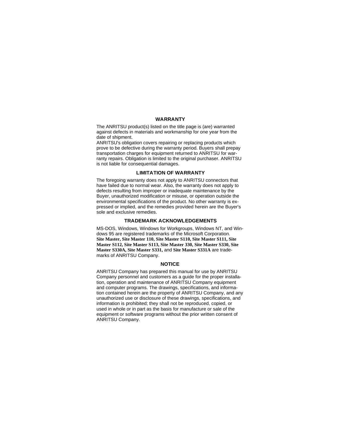### **WARRANTY**

The ANRITSU product(s) listed on the title page is (are) warranted against defects in materials and workmanship for one year from the date of shipment.

ANRITSU's obligation covers repairing or replacing products which prove to be defective during the warranty period. Buyers shall prepay transportation charges for equipment returned to ANRITSU for warranty repairs. Obligation is limited to the original purchaser. ANRITSU is not liable for consequential damages.

#### **LIMITATION OF WARRANTY**

The foregoing warranty does not apply to ANRITSU connectors that have failed due to normal wear. Also, the warranty does not apply to defects resulting from improper or inadequate maintenance by the Buyer, unauthorized modification or misuse, or operation outside the environmental specifications of the product. No other warranty is expressed or implied, and the remedies provided herein are the Buyer's sole and exclusive remedies.

#### **TRADEMARK ACKNOWLEDGEMENTS**

MS-DOS, Windows, Windows for Workgroups, Windows NT, and Windows 95 are registered trademarks of the Microsoft Corporation. **Site Master, Site Master 110, Site Master S110, Site Master S111, Site Master S112, Site Master S113, Site Master 330, Site Master S330, Site Master S330A, Site Master S331,** and **Site Master S331A** are trademarks of ANRITSU Company.

#### **NOTICE**

ANRITSU Company has prepared this manual for use by ANRITSU Company personnel and customers as a guide for the proper installation, operation and maintenance of ANRITSU Company equipment and computer programs. The drawings, specifications, and information contained herein are the property of ANRITSU Company, and any unauthorized use or disclosure of these drawings, specifications, and information is prohibited; they shall not be reproduced, copied, or used in whole or in part as the basis for manufacture or sale of the equipment or software programs without the prior written consent of ANRITSU Company.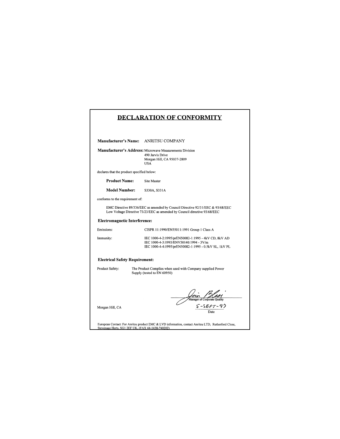|                                            | <b>DECLARATION OF CONFORMITY</b>                                                                                                                            |
|--------------------------------------------|-------------------------------------------------------------------------------------------------------------------------------------------------------------|
|                                            | Manufacturer's Name: ANRITSU COMPANY                                                                                                                        |
|                                            | Manufacturer's Address: Microwave Measurements Division<br>490 Jarvis Drive<br>Morgan Hill, CA 95037-2809<br><b>USA</b>                                     |
| declares that the product specified below: |                                                                                                                                                             |
| <b>Product Name:</b>                       | <b>Site Master</b>                                                                                                                                          |
| <b>Model Number:</b>                       | S330A, S331A                                                                                                                                                |
| conforms to the requirement of:            |                                                                                                                                                             |
|                                            | EMC Directive 89/336/EEC as amended by Council Directive 92/31/EEC & 93/68/EEC<br>Low Voltage Directive 73/23/EEC as amended by Council directive 93/68/EEC |
| <b>Electromagnetic Interference:</b>       |                                                                                                                                                             |
| Emissions:                                 | CISPR 11:1990/EN55011:1991 Group 1 Class A                                                                                                                  |
| Immunity:                                  | IEC 1000-4-2:1995/prEN50082-1:1995 - 4kV CD, 8kV AD<br>IEC 1000-4-3:1993/ENV50140:1994 - 3V/m<br>IEC 1000-4-4:1995/prEN50082-1:1995 - 0.5kV SL, 1kV PL      |
| <b>Electrical Safety Requirement:</b>      |                                                                                                                                                             |
| Product Safety:                            | The Product Complies when used with Company supplied Power<br>Supply (tested to EN 60950)                                                                   |
|                                            |                                                                                                                                                             |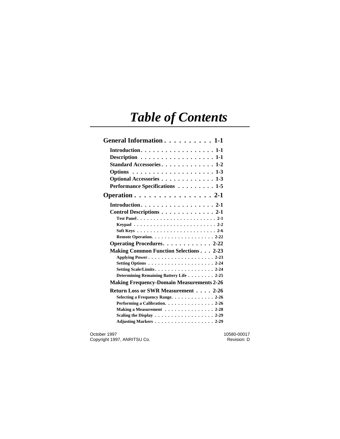# *Table of Contents*

| General Information1-1                                                            |
|-----------------------------------------------------------------------------------|
| Introduction. $\ldots \ldots \ldots \ldots \ldots \ldots 1-1$                     |
| Description $\dots \dots \dots \dots \dots \dots \dots 1-1$                       |
| Standard Accessories. 1-2                                                         |
| Options $\dots \dots \dots \dots \dots \dots \dots \dots 1-3$                     |
| Optional Accessories 1-3                                                          |
| Performance Specifications 1-5                                                    |
| Operation $\ldots$ 2-1                                                            |
| Introduction. $\ldots \ldots \ldots \ldots \ldots \ldots 2-1$                     |
| Control Descriptions 2-1                                                          |
|                                                                                   |
|                                                                                   |
| Soft Keys $\dots \dots \dots \dots \dots \dots \dots \dots \dots \dots \dots 2-6$ |
|                                                                                   |
|                                                                                   |
| <b>Making Common Function Selections 2-23</b>                                     |
|                                                                                   |
| Setting Options $\ldots \ldots \ldots \ldots \ldots \ldots \ldots 2-24$           |
| Setting Scale/Limits2-24                                                          |
| Determining Remaining Battery Life 2-25                                           |
| <b>Making Frequency-Domain Measurements 2-26</b>                                  |
| Return Loss or SWR Measurement 2-26                                               |
| Selecting a Frequency Range. 2-26                                                 |
| Performing a Calibration. 2-26                                                    |
| Making a Measurement 2-28                                                         |
| Scaling the Display $\ldots \ldots \ldots \ldots \ldots \ldots 2-29$              |
|                                                                                   |

October 1997 10580-00017 Copyright 1997, ANRITSUCo. The control of the control of the Revision: D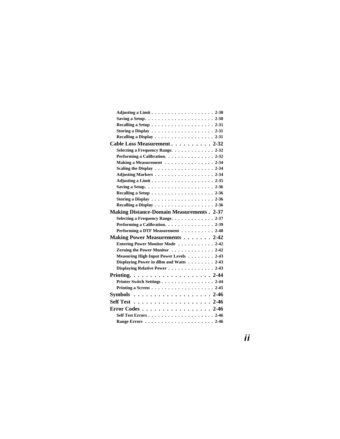| Adjusting a Limit $\ldots \ldots \ldots \ldots \ldots \ldots 2-30$       |
|--------------------------------------------------------------------------|
| Saving a Setup. $\ldots \ldots \ldots \ldots \ldots \ldots \ldots 2-30$  |
| Recalling a Setup $\ldots \ldots \ldots \ldots \ldots \ldots 2-31$       |
| Storing a Display $\dots \dots \dots \dots \dots \dots \dots \dots$ 2-31 |
| Recalling a Display 2-31                                                 |
| Cable Loss Measurement 2-32                                              |
| Selecting a Frequency Range. 2-32                                        |
| Performing a Calibration. 2-32                                           |
| Making a Measurement 2-34                                                |
| Scaling the Display $\dots \dots \dots \dots \dots \dots \dots 2-34$     |
| Adjusting Markers 2-34                                                   |
| Adjusting a Limit $\ldots \ldots \ldots \ldots \ldots \ldots$ 2-35       |
| Saving a Setup. $\ldots \ldots \ldots \ldots \ldots \ldots \ldots 2-36$  |
| Recalling a Setup $\ldots \ldots \ldots \ldots \ldots \ldots 2-36$       |
| Storing a Display $\ldots \ldots \ldots \ldots \ldots \ldots$ . 2-36     |
| Recalling a Display 2-36                                                 |
| <b>Making Distance-Domain Measurements. 2-37</b>                         |
|                                                                          |
| Selecting a Frequency Range 2-37                                         |
| Performing a Calibration. 2-39                                           |
| Performing a DTF Measurement 2-40                                        |
| Making Power Measurements 2-42                                           |
| Entering Power Monitor Mode 2-42                                         |
| Zeroing the Power Monitor 2-42                                           |
| Measuring High Input Power Levels 2-43                                   |
| Displaying Power in dBm and Watts 2-43                                   |
| Displaying Relative Power 2-43                                           |
|                                                                          |
| Printer Switch Settings 2-44                                             |
|                                                                          |
|                                                                          |
| Symbols $\ldots \ldots \ldots \ldots \ldots \ldots 2$ -46                |
| Self Test $\ldots \ldots \ldots \ldots \ldots \ldots 2$ -46              |
| Error Codes 2-46                                                         |
|                                                                          |

**ii**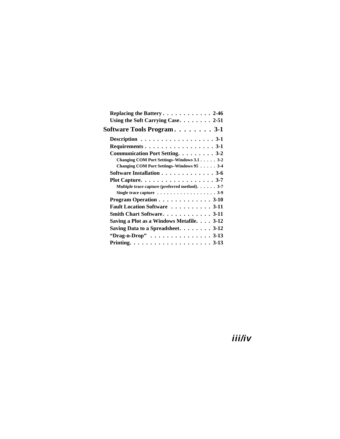| Replacing the Battery2-46                                            |  |
|----------------------------------------------------------------------|--|
| Using the Soft Carrying Case 2-51                                    |  |
| Software Tools Program 3-1                                           |  |
| Description $\ldots \ldots \ldots \ldots \ldots \ldots 3-1$          |  |
| Requirements $\ldots \ldots \ldots \ldots \ldots$ 3-1                |  |
| Communication Port Setting. 3-2                                      |  |
| Changing COM Port Settings-Windows 3.1 3-2                           |  |
| Changing COM Port Settings-Windows 95 3-4                            |  |
| Software Installation $\ldots \ldots \ldots \ldots$ 3-6              |  |
| Plot Capture. $\ldots \ldots \ldots \ldots \ldots \ldots 3-7$        |  |
| Multiple trace capture (preferred method). $\ldots$ 3-7              |  |
| Single trace capture $\dots \dots \dots \dots \dots \dots \dots$ 3-9 |  |
| Program Operation $\ldots \ldots \ldots \ldots 3-10$                 |  |
| Fault Location Software 3-11                                         |  |
| Smith Chart Software3-11                                             |  |
| Saving a Plot as a Windows Metafile. 3-12                            |  |
| Saving Data to a Spreadsheet. 3-12                                   |  |
| "Drag-n-Drop" $\ldots \ldots \ldots \ldots \ldots$ 3-13              |  |
|                                                                      |  |
|                                                                      |  |

**iii/iv**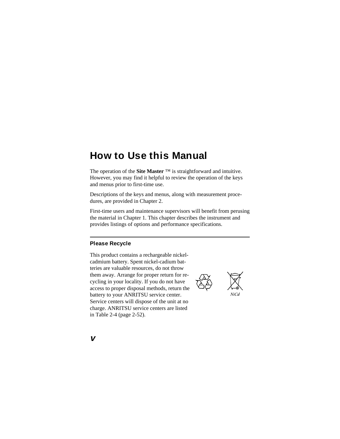# **How to Use this Manual**

The operation of the **Site Master** ™ is straightforward and intuitive. However, you may find it helpful to review the operation of the keys and menus prior to first-time use.

Descriptions of the keys and menus, along with measurement procedures, are provided in Chapter 2.

First-time users and maintenance supervisors will benefit from perusing the material in Chapter 1. This chapter describes the instrument and provides listings of options and performance specifications.

### **Please Recycle**

This product contains a rechargeable nickelcadmium battery. Spent nickel-cadium batteries are valuable resources, do not throw them away. Arrange for proper return for recycling in your locality. If you do not have access to proper disposal methods, return the battery to your ANRITSU service center. Service centers will dispose of the unit at no charge. ANRITSU service centers are listed in Table 2-4 (page 2-52).



**v**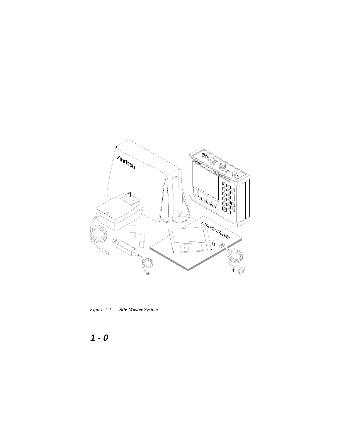

*Figure 1-1. Site Master System*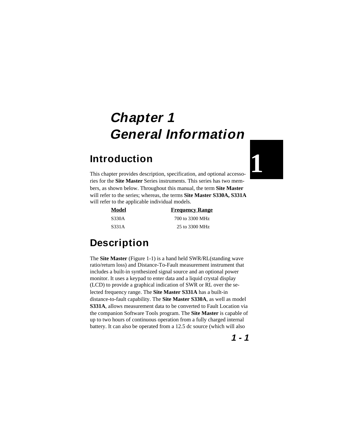# **Introduction**

<span id="page-8-0"></span>

This chapter provides description, specification, and optional accessories for the **Site Master** Series instruments. This series has two members, as shown below. Throughout this manual, the term **Site Master** will refer to the series; whereas, the terms **Site Master S330A, S331A** will refer to the applicable individual models.

| Model | <b>Frequency Range</b> |
|-------|------------------------|
| S330A | 700 to 3300 MHz        |
| S331A | 25 to 3300 MHz         |

# **Description**

The **Site Master** (Figure 1-1) is a hand held SWR/RL(standing wave ratio/return loss) and Distance-To-Fault measurement instrument that includes a built-in synthesized signal source and an optional power monitor. It uses a keypad to enter data and a liquid crystal display (LCD) to provide a graphical indication of SWR or RL over the selected frequency range. The **Site Master S331A** has a built-in distance-to-fault capability. The **Site Master S330A**, as well as model **S331A**, allows measurement data to be converted to Fault Location via the companion Software Tools program. The **Site Master** is capable of up to two hours of continuous operation from a fully charged internal battery. It can also be operated from a 12.5 dc source (which will also

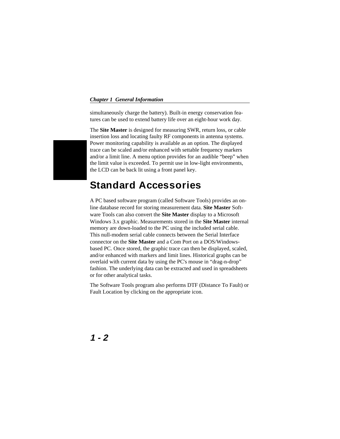<span id="page-9-0"></span>simultaneously charge the battery). Built-in energy conservation features can be used to extend battery life over an eight-hour work day.

The **Site Master** is designed for measuring SWR, return loss, or cable insertion loss and locating faulty RF components in antenna systems. Power monitoring capability is available as an option. The displayed trace can be scaled and/or enhanced with settable frequency markers and/or a limit line. A menu option provides for an audible "beep" when the limit value is exceeded. To permit use in low-light environments, the LCD can be back lit using a front panel key.

# **Standard Accessories**

A PC based software program (called Software Tools) provides an online database record for storing measurement data. **Site Master** Software Tools can also convert the **Site Master** display to a Microsoft Windows 3.x graphic. Measurements stored in the **Site Master** internal memory are down-loaded to the PC using the included serial cable. This null-modem serial cable connects between the Serial Interface connector on the **Site Master** and a Com Port on a DOS/Windowsbased PC. Once stored, the graphic trace can then be displayed, scaled, and/or enhanced with markers and limit lines. Historical graphs can be overlaid with current data by using the PC's mouse in "drag-n-drop" fashion. The underlying data can be extracted and used in spreadsheets or for other analytical tasks.

The Software Tools program also performs DTF (Distance To Fault) or Fault Location by clicking on the appropriate icon.

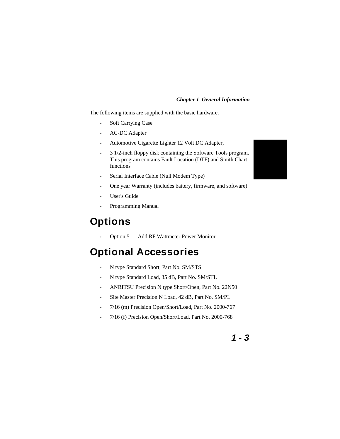<span id="page-10-0"></span>The following items are supplied with the basic hardware.

- Soft Carrying Case
- AC-DC Adapter
- Automotive Cigarette Lighter 12 Volt DC Adapter,
- 3 1/2-inch floppy disk containing the Software Tools program. This program contains Fault Location (DTF) and Smith Chart functions
- Serial Interface Cable (Null Modem Type)
- One year Warranty (includes battery, firmware, and software)
- User's Guide
- Programming Manual

# **Options**

• Option 5 — Add RF Wattmeter Power Monitor

# **Optional Accessories**

- N type Standard Short, Part No. SM/STS
- N type Standard Load, 35 dB, Part No. SM/STL
- ANRITSU Precision N type Short/Open, Part No. 22N50
- Site Master Precision N Load, 42 dB, Part No. SM/PL
- 7/16 (m) Precision Open/Short/Load, Part No. 2000-767
- 7/16 (f) Precision Open/Short/Load, Part No. 2000-768

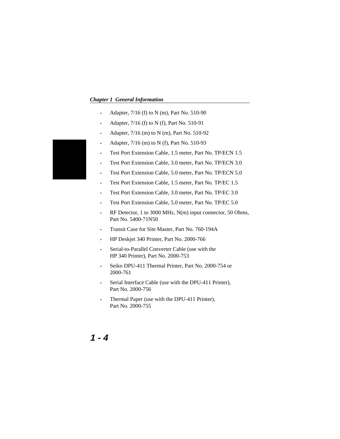- Adapter, 7/16 (f) to N (m), Part No. 510-90
- Adapter, 7/16 (f) to N (f), Part No. 510-91
- Adapter, 7/16 (m) to N (m), Part No. 510-92
- Adapter,  $7/16$  (m) to N (f), Part No. 510-93
- Test Port Extension Cable, 1.5 meter, Part No. TP/ECN 1.5
- Test Port Extension Cable, 3.0 meter, Part No. TP/ECN 3.0
- Test Port Extension Cable, 5.0 meter, Part No. TP/ECN 5.0
- Test Port Extension Cable, 1.5 meter, Part No. TP/EC 1.5
- Test Port Extension Cable, 3.0 meter, Part No. TP/EC 3.0
- Test Port Extension Cable, 5.0 meter, Part No. TP/EC 5.0
- RF Detector, 1 to 3000 MHz, N(m) input connector, 50 Ohms, Part No. 5400-71N50
- Transit Case for Site Master, Part No. 760-194A
- HP Deskjet 340 Printer, Part No. 2000-766
- Serial-to-Parallel Converter Cable (use with the HP 340 Printer), Part No. 2000-753
- Seiko DPU-411 Thermal Printer, Part No. 2000-754 or 2000-761
- Serial Interface Cable (use with the DPU-411 Printer), Part No. 2000-756
- Thermal Paper (use with the DPU-411 Printer), Part No. 2000-755



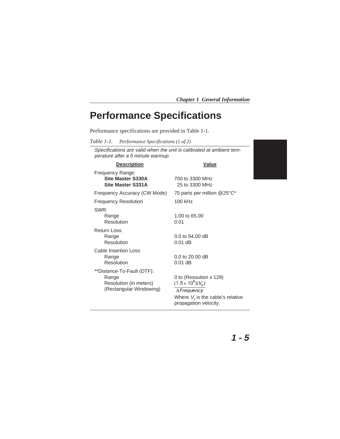# <span id="page-12-0"></span>**Performance Specifications**

Performance specifications are provided in Table 1-1.

### *Table 1-1. Performance Specifications (1 of 2)*

Specifications are valid when the unit is calibrated at ambient temperature after a 5 minute warmup.

| Value                                                                                                                                             |  |
|---------------------------------------------------------------------------------------------------------------------------------------------------|--|
| 700 to 3300 MHz<br>25 to 3300 MHz                                                                                                                 |  |
| 75 parts per million @25°C*                                                                                                                       |  |
| 100 kHz                                                                                                                                           |  |
| 1.00 to 65.00<br>0.01                                                                                                                             |  |
| $0.0$ to 54.00 dB<br>$0.01$ dB                                                                                                                    |  |
| $0.0$ to 20.00 dB<br>$0.01$ dB                                                                                                                    |  |
| 0 to (Resoution x 129)<br>$(1.5 \times 10^8)(V_p)$<br>$\Delta$ <i>Frequency</i><br>Where $V_{p}$ is the cable's relative<br>propagation velocity. |  |
|                                                                                                                                                   |  |

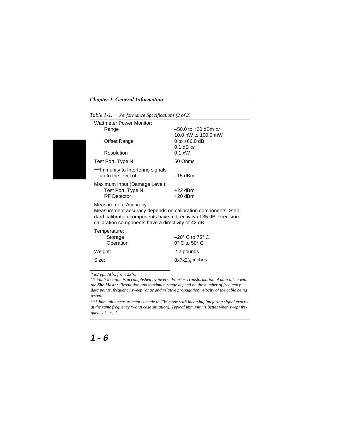| $\frac{1}{2}$ . The state of $\frac{1}{2}$ is the state of $\frac{1}{2}$ is $\frac{1}{2}$ in $\frac{1}{2}$ is the state of $\frac{1}{2}$ is the state of $\frac{1}{2}$ |                            |
|------------------------------------------------------------------------------------------------------------------------------------------------------------------------|----------------------------|
| <b>Wattmeter Power Monitor:</b>                                                                                                                                        |                            |
| Range                                                                                                                                                                  | -50.0 to +20 dBm <i>or</i> |
|                                                                                                                                                                        | 10.0 nW to 100.0 mW        |
| Offset Range                                                                                                                                                           | 0 to $+60.0$ dB            |
|                                                                                                                                                                        | $0.1$ dB <i>or</i>         |
| Resolution                                                                                                                                                             | $0.1 \times W$             |
| Test Port, Type N                                                                                                                                                      | 50 Ohms                    |
| ***Immunity to Interfering signals<br>up to the level of                                                                                                               | $-15$ dBm                  |
| Maximum Input (Damage Level):                                                                                                                                          |                            |
| Test Port, Type N                                                                                                                                                      | $+22$ dBm                  |
| <b>RF</b> Detector                                                                                                                                                     | $+20$ dBm                  |
|                                                                                                                                                                        |                            |

## *Table 1-1. Performance Specifications (2 of 2)*

Measurement Accuracy:

Measurement accuracy depends on calibration components. Standard calibration components have a directivity of 35 dB. Precision calibration components have a directivity of 42 dB.

| Temperature: |                                |
|--------------|--------------------------------|
| Storage      | $-20^\circ$ C to 75 $^\circ$ C |
| Operation    | $0^\circ$ C to $50^\circ$ C    |
| Weight:      | 2.2 pounds                     |
| Size:        | $8x7x2\frac{\gamma}{4}$ inches |
|              |                                |

*\* ±2 ppm/D°C from 25°C*

*\*\* Fault location is accomplished by inverse Fourier Transformation of data taken with the Site Master. Resolution and maximum range depend on the number of frequency data points, frequency sweep range and relative propagation velocity of the cable being tested.*

*\*\*\* Immunity measurement is made in CW mode with incoming intefering signal exactly at the same frequency (worst case situation). Typical immunity is better when swept frequency is used.*

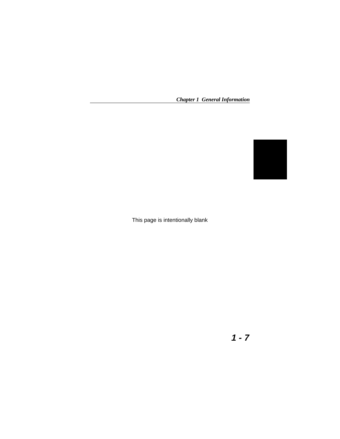

This page is intentionally blank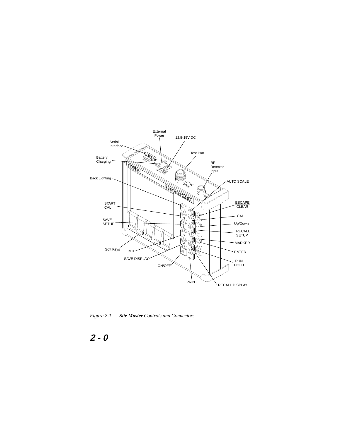

*Figure 2-1. Site Master Controls and Connectors*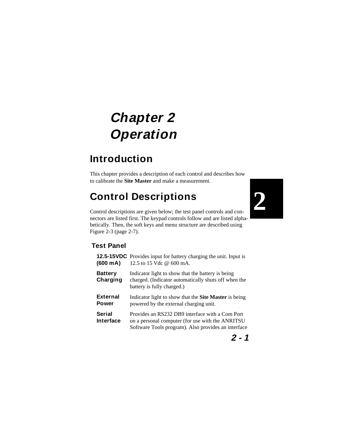# <span id="page-16-0"></span>**Chapter 2 Operation**

# **Introduction**

This chapter provides a description of each control and describes how to calibrate the **Site Master** and make a measurement.

# **Control Descriptions**



Control descriptions are given below; the test panel controls and connectors are listed first. The keypad controls follow and are listed alphabetically. Then, the soft keys and menu structure are described using Figure 2-3 (page 2-7).

## **Test Panel**

| $(600 \, \text{mA})$              | <b>12.5-15VDC</b> Provides input for battery charging the unit. Input is<br>12.5 to 15 Vdc @ 600 mA.                                                       |
|-----------------------------------|------------------------------------------------------------------------------------------------------------------------------------------------------------|
| <b>Battery</b><br>Charging        | Indicator light to show that the battery is being<br>charged. (Indicator automatically shuts off when the<br>battery is fully charged.)                    |
| <b>External</b><br><b>Power</b>   | Indicator light to show that the <b>Site Master</b> is being<br>powered by the external charging unit.                                                     |
| <b>Serial</b><br><b>Interface</b> | Provides an RS232 DB9 interface with a Com Port<br>on a personal computer (for use with the ANRITSU<br>Software Tools program). Also provides an interface |

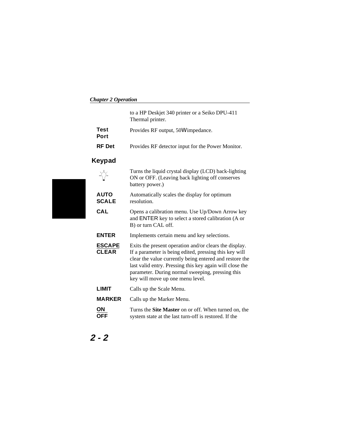<span id="page-17-0"></span>*Chapter 2 Operation*

|                               | to a HP Deskjet 340 printer or a Seiko DPU-411<br>Thermal printer.                                                                                                                                                                                                                                                              |
|-------------------------------|---------------------------------------------------------------------------------------------------------------------------------------------------------------------------------------------------------------------------------------------------------------------------------------------------------------------------------|
| <b>Test</b><br>Port           | Provides RF output, 50Wimpedance.                                                                                                                                                                                                                                                                                               |
| <b>RF</b> Det                 | Provides RF detector input for the Power Monitor.                                                                                                                                                                                                                                                                               |
| Keypad                        |                                                                                                                                                                                                                                                                                                                                 |
|                               | Turns the liquid crystal display (LCD) back-lighting<br>ON or OFF. (Leaving back lighting off conserves<br>battery power.)                                                                                                                                                                                                      |
| <b>AUTO</b><br><b>SCALE</b>   | Automatically scales the display for optimum<br>resolution.                                                                                                                                                                                                                                                                     |
| CAL                           | Opens a calibration menu. Use Up/Down Arrow key<br>and ENTER key to select a stored calibration (A or<br>B) or turn CAL off.                                                                                                                                                                                                    |
| <b>ENTER</b>                  | Implements certain menu and key selections.                                                                                                                                                                                                                                                                                     |
| <b>ESCAPE</b><br><b>CLEAR</b> | Exits the present operation and/or clears the display.<br>If a parameter is being edited, pressing this key will<br>clear the value currently being entered and restore the<br>last valid entry. Pressing this key again will close the<br>parameter. During normal sweeping, pressing this<br>key will move up one menu level. |
| <b>LIMIT</b>                  | Calls up the Scale Menu.                                                                                                                                                                                                                                                                                                        |
| <b>MARKER</b>                 | Calls up the Marker Menu.                                                                                                                                                                                                                                                                                                       |
| ΟN<br>OFF                     | Turns the Site Master on or off. When turned on, the<br>system state at the last turn-off is restored. If the                                                                                                                                                                                                                   |

**2-2**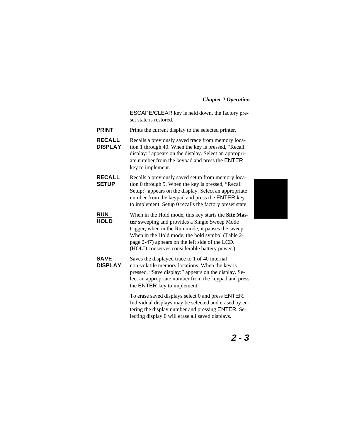| <b>Chapter 2 Operation</b> |  |  |  |
|----------------------------|--|--|--|
|----------------------------|--|--|--|

ESCAPE/CLEAR key is held down, the factory preset state is restored.

- **PRINT** Prints the current display to the selected printer.
- **RECALL DISPLAY** Recalls a previously saved trace from memory location 1 through 40. When the key is pressed, "Recall display:" appears on the display. Select an appropriate number from the keypad and press the ENTER key to implement.
- **RECALL SETUP** Recalls a previously saved setup from memory location 0 through 9. When the key is pressed, "Recall Setup:" appears on the display. Select an appropriate number from the keypad and press the ENTER key to implement. Setup 0 recalls the factory preset state.
- **RUN HOLD** When in the Hold mode, this key starts the **Site Master** sweeping and provides a Single Sweep Mode trigger; when in the Run mode, it pauses the sweep. When in the Hold mode, the hold symbol (Table 2-1, page 2-47) appears on the left side of the LCD. (HOLD conserves considerable battery power.)
- **SAVE DISPLAY** Saves the displayed trace to 1 of 40 internal non-volatile memory locations. When the key is pressed, "Save display:" appears on the display. Select an appropriate number from the keypad and press the ENTER key to implement.

To erase saved displays select 0 and press ENTER. Individual displays may be selected and erased by entering the display number and pressing ENTER. Selecting display 0 will erase all saved displays.

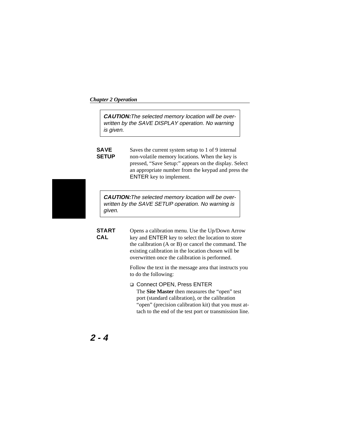### *Chapter 2 Operation*

**CAUTION:**The selected memory location will be overwritten by the SAVE DISPLAY operation. No warning is given.

**SAVE SETUP** Saves the current system setup to 1 of 9 internal non-volatile memory locations. When the key is pressed, "Save Setup:" appears on the display. Select an appropriate number from the keypad and press the ENTER key to implement.

**CAUTION:**The selected memory location will be overwritten by the SAVE SETUP operation. No warning is given.

**START CAL** Opens a calibration menu. Use the Up/Down Arrow key and ENTER key to select the location to store the calibration (A or B) or cancel the command. The existing calibration in the location chosen will be overwritten once the calibration is performed.

> Follow the text in the message area that instructs you to do the following:

> q Connect OPEN, Press ENTER The **Site Master** then measures the "open" test port (standard calibration), or the calibration "open" (precision calibration kit) that you must attach to the end of the test port or transmission line.

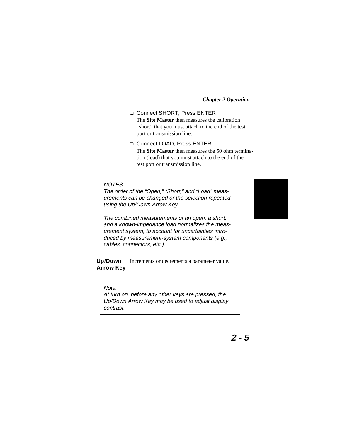*Chapter 2 Operation*

# q Connect SHORT, Press ENTER

The **Site Master** then measures the calibration "short" that you must attach to the end of the test port or transmission line.

q Connect LOAD, Press ENTER The **Site Master** then measures the 50 ohm termination (load) that you must attach to the end of the test port or transmission line.

### NOTES:

The order of the "Open," "Short," and "Load" measurements can be changed or the selection repeated using the Up/Down Arrow Key.

The combined measurements of an open, a short, and a known-impedance load normalizes the measurement system, to account for uncertainties introduced by measurement-system components (e.g., cables, connectors, etc.).

**Up/Down Arrow Key** Increments or decrements a parameter value.

## Note:

At turn on, before any other keys are pressed, the Up/Down Arrow Key may be used to adjust display contrast.



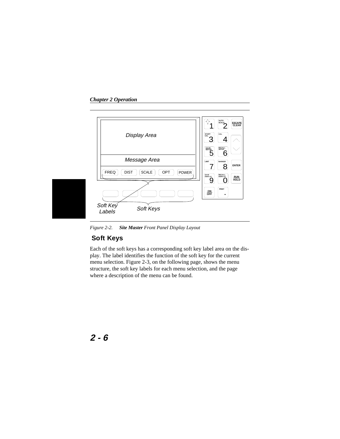

<span id="page-21-0"></span>*Chapter 2 Operation*

*Figure 2-2. Site Master Front Panel Display Layout*

## **Soft Keys**

Each of the soft keys has a corresponding soft key label area on the display. The label identifies the function of the soft key for the current menu selection. Figure 2-3, on the following page, shows the menu structure, the soft key labels for each menu selection, and the page where a description of the menu can be found.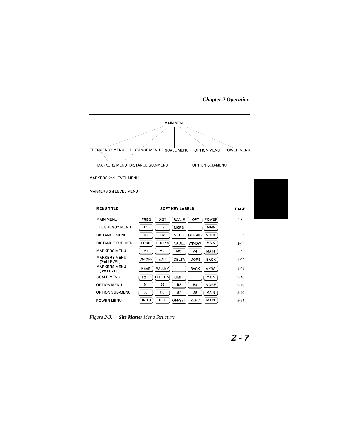

*Figure 2-3. Site Master Menu Structure*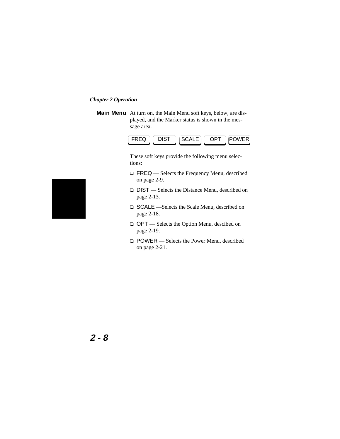*Chapter 2 Operation*

**Main Menu** At turn on, the Main Menu soft keys, below, are displayed, and the Marker status is shown in the message area.



These soft keys provide the following menu selections:

- □ FREQ Selects the Frequency Menu, described on page 2-9.
- □ DIST Selects the Distance Menu, described on page 2-13.
- q SCALE —Selects the Scale Menu, described on page 2-18.
- □ OPT Selects the Option Menu, descibed on page 2-19.
- q POWER Selects the Power Menu, described on page 2-21.

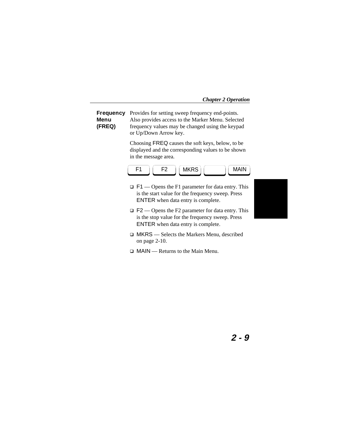*Chapter 2 Operation*

## **Frequency** Provides for setting sweep frequency end-points. **Menu (FREQ)**

Also provides access to the Marker Menu. Selected frequency values may be changed using the keypad or Up/Down Arrow key.

Choosing FREQ causes the soft keys, below, to be displayed and the corresponding values to be shown in the message area.



- $\Box$  F1 Opens the F1 parameter for data entry. This is the start value for the frequency sweep. Press ENTER when data entry is complete.
- $\Box$  F2 Opens the F2 parameter for data entry. This is the stop value for the frequency sweep. Press ENTER when data entry is complete.
- □ MKRS Selects the Markers Menu, described on page 2-10.
- $\Box$  MAIN Returns to the Main Menu.

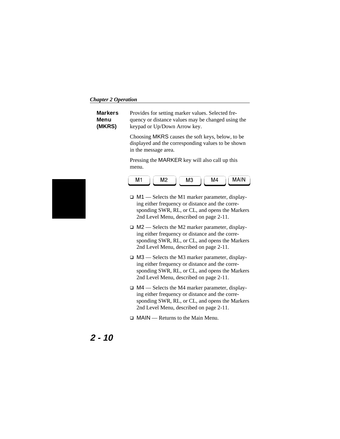*Chapter 2 Operation*

| <b>Markers</b> | Provides for setting marker values. Selected fre-  |
|----------------|----------------------------------------------------|
| Menu           | quency or distance values may be changed using the |
| (MKRS)         | keypad or Up/Down Arrow key.                       |

Choosing MKRS causes the soft keys, below, to be displayed and the corresponding values to be shown in the message area.

Pressing the MARKER key will also call up this menu.



- $\Box$  M1 Selects the M1 marker parameter, displaying either frequency or distance and the corresponding SWR, RL, or CL, and opens the Markers 2nd Level Menu, described on page 2-11.
- $\Box$  M2 Selects the M2 marker parameter, displaying either frequency or distance and the corresponding SWR, RL, or CL, and opens the Markers 2nd Level Menu, described on page 2-11.
- $\Box$  M3 Selects the M3 marker parameter, displaying either frequency or distance and the corresponding SWR, RL, or CL, and opens the Markers 2nd Level Menu, described on page 2-11.
- $\Box$  M4 Selects the M4 marker parameter, displaying either frequency or distance and the corresponding SWR, RL, or CL, and opens the Markers 2nd Level Menu, described on page 2-11.
- $\Box$  MAIN Returns to the Main Menu.

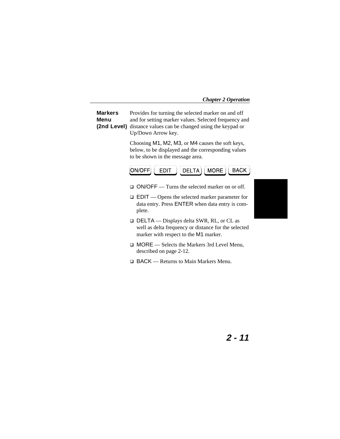*Chapter 2 Operation*

# **Markers Menu**

**(2nd Level)** distance values can be changed using the keypad or Provides for turning the selected marker on and off and for setting marker values. Selected frequency and Up/Down Arrow key.

> Choosing M1, M2, M3, or M4 causes the soft keys, below, to be displayed and the corresponding values to be shown in the message area.



- $\Box$  ON/OFF Turns the selected marker on or off.
- $\Box$  EDIT Opens the selected marker parameter for data entry. Press ENTER when data entry is complete.
- $\Box$  DELTA Displays delta SWR, RL, or CL as well as delta frequency or distance for the selected marker with respect to the M1 marker.
- □ MORE Selects the Markers 3rd Level Menu, described on page 2-12.
- □ BACK Returns to Main Markers Menu.

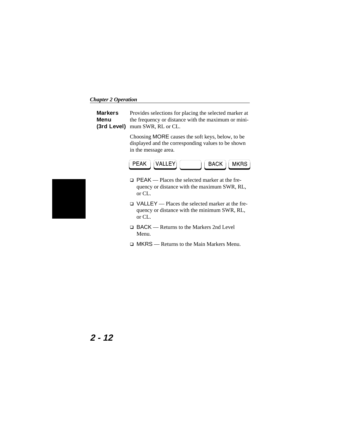*Chapter 2 Operation*

**Markers Menu (3rd Level)** mum SWR, RL or CL. Provides selections for placing the selected marker at the frequency or distance with the maximum or mini-

> Choosing MORE causes the soft keys, below, to be displayed and the corresponding values to be shown in the message area.



- $\Box$  PEAK Places the selected marker at the frequency or distance with the maximum SWR, RL, or CL.
- $\Box$  VALLEY Places the selected marker at the frequency or distance with the minimum SWR, RL, or CL.
- q BACK Returns to the Markers 2nd Level Menu.
- □ MKRS Returns to the Main Markers Menu.

**2 - 12**

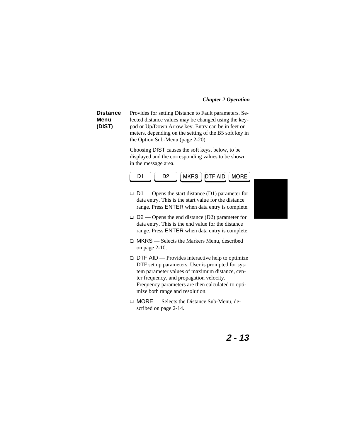*Chapter 2 Operation*

**Distance Menu (DIST)** Provides for setting Distance to Fault parameters. Selected distance values may be changed using the keypad or Up/Down Arrow key. Entry can be in feet or meters, depending on the setting of the B5 soft key in the Option Sub-Menu (page 2-20).

> Choosing DIST causes the soft keys, below, to be displayed and the corresponding values to be shown in the message area.



- $\Box$  D1 Opens the start distance (D1) parameter for data entry. This is the start value for the distance range. Press ENTER when data entry is complete.
- $\Box$  D2 Opens the end distance (D2) parameter for data entry. This is the end value for the distance range. Press ENTER when data entry is complete.
- $\Box$  MKRS Selects the Markers Menu, described on page 2-10.
- $\Box$  DTF AID Provides interactive help to optimize DTF set up parameters. User is prompted for system parameter values of maximum distance, center frequency, and propagation velocity. Frequency parameters are then calculated to optimize both range and resolution.
- □ MORE Selects the Distance Sub-Menu, described on page 2-14.

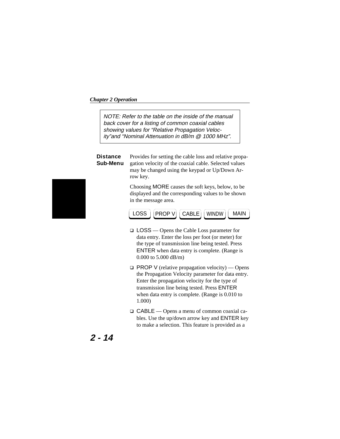### *Chapter 2 Operation*

NOTE: Refer to the table on the inside of the manual back cover for a listing of common coaxial cables showing values for "Relative Propagation Velocity"and "Nominal Attenuation in dB/m @ 1000 MHz".

## **Distance Sub-Menu**

Provides for setting the cable loss and relative propagation velocity of the coaxial cable. Selected values may be changed using the keypad or Up/Down Arrow key.

Choosing MORE causes the soft keys, below, to be displayed and the corresponding values to be shown in the message area.



- q LOSS Opens the Cable Loss parameter for data entry. Enter the loss per foot (or meter) for the type of transmission line being tested. Press ENTER when data entry is complete. (Range is 0.000 to 5.000 dB/m)
- $\Box$  PROP V (relative propagation velocity) Opens the Propagation Velocity parameter for data entry. Enter the propagation velocity for the type of transmission line being tested. Press ENTER when data entry is complete. (Range is 0.010 to 1.000)
- □ CABLE Opens a menu of common coaxial cables. Use the up/down arrow key and ENTER key to make a selection. This feature is provided as a

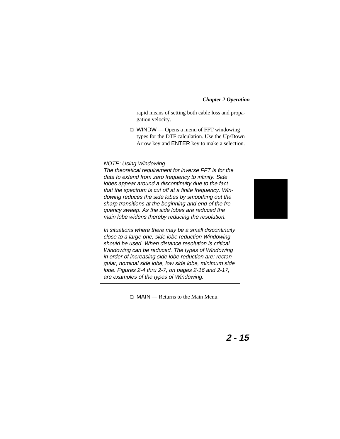rapid means of setting both cable loss and propagation velocity.

 $\Box$  WINDW — Opens a menu of FFT windowing types for the DTF calculation. Use the Up/Down Arrow key and ENTER key to make a selection.

NOTE: Using Windowing

The theoretical requirement for inverse FFT is for the data to extend from zero frequency to infinity. Side lobes appear around a discontinuity due to the fact that the spectrum is cut off at a finite frequency. Windowing reduces the side lobes by smoothing out the sharp transitions at the beginning and end of the frequency sweep. As the side lobes are reduced the main lobe widens thereby reducing the resolution.

In situations where there may be a small discontinuity close to a large one, side lobe reduction Windowing should be used. When distance resolution is critical Windowing can be reduced. The types of Windowing in order of increasing side lobe reduction are: rectangular, nominal side lobe, low side lobe, minimum side lobe. Figures 2-4 thru 2-7, on pages 2-16 and 2-17, are examples of the types of Windowing.

 $\Box$  MAIN — Returns to the Main Menu.

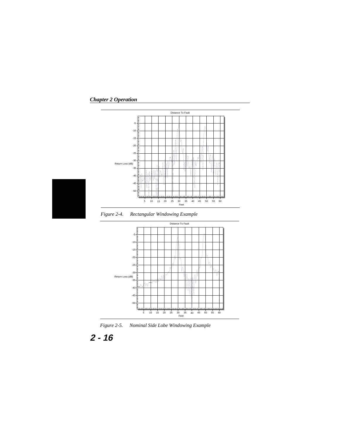

## *Chapter 2 Operation*





*Figure 2-5. Nominal Side Lobe Windowing Example*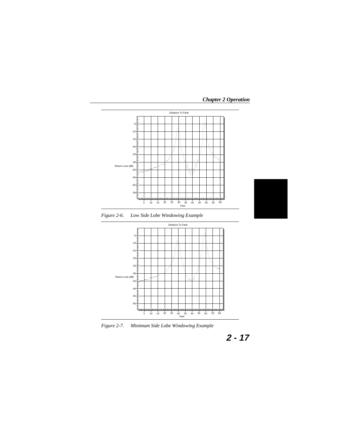

## *Chapter 2 Operation*



*Figure 2-7. Minimum Side Lobe Windowing Example*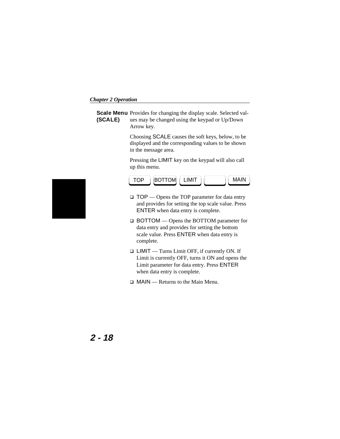*Chapter 2 Operation*

**Scale Menu** Provides for changing the display scale. Selected val-**(SCALE)** ues may be changed using the keypad or Up/Down Arrow key.

> Choosing SCALE causes the soft keys, below, to be displayed and the corresponding values to be shown in the message area.

Pressing the LIMIT key on the keypad will also call up this menu.



- $\Box$  TOP Opens the TOP parameter for data entry and provides for setting the top scale value. Press ENTER when data entry is complete.
- q BOTTOM Opens the BOTTOM parameter for data entry and provides for setting the bottom scale value. Press ENTER when data entry is complete.
- q LIMIT Turns Limit OFF, if currently ON. If Limit is currently OFF, turns it ON and opens the Limit parameter for data entry. Press ENTER when data entry is complete.
- $\Box$  MAIN Returns to the Main Menu.

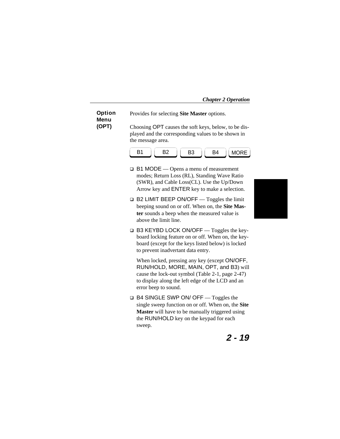#### *Chapter 2 Operation*

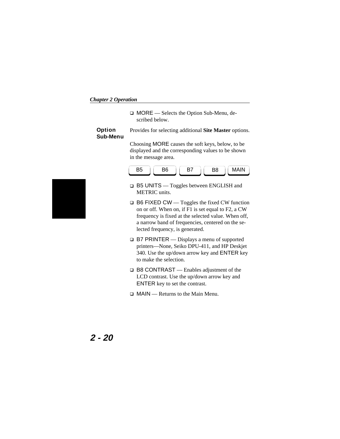*Chapter 2 Operation*

|                |  | $\Box$ MORE — Selects the Option Sub-Menu, de- |  |
|----------------|--|------------------------------------------------|--|
| scribed below. |  |                                                |  |

### **Option Sub-Menu**

Provides for selecting additional **Site Master** options.

Choosing MORE causes the soft keys, below, to be displayed and the corresponding values to be shown in the message area.



- □ B5 UNITS Toggles between ENGLISH and METRIC units.
- $\Box$  B6 FIXED CW Toggles the fixed CW function on or off. When on, if F1 is set equal to F2, a CW frequency is fixed at the selected value. When off, a narrow band of frequencies, centered on the selected frequency, is generated.
- q B7 PRINTER Displays a menu of supported printers—None, Seiko DPU-411, and HP Deskjet 340. Use the up/down arrow key and ENTER key to make the selection.
- □ B8 CONTRAST Enables adjustment of the LCD contrast. Use the up/down arrow key and ENTER key to set the contrast.
- $\Box$  MAIN Returns to the Main Menu.

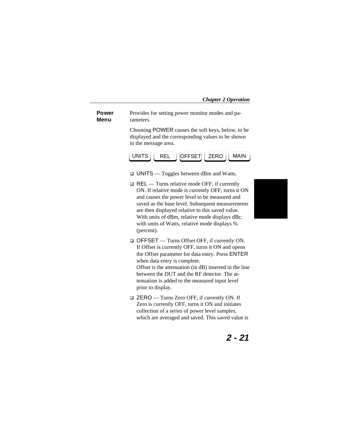*Chapter 2 Operation*

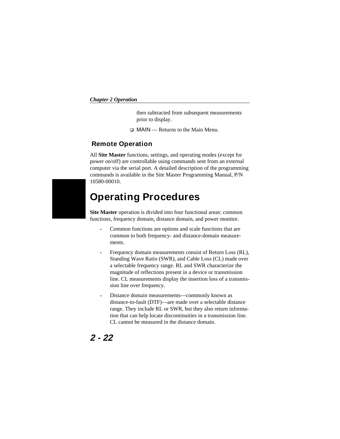then subtracted from subsequent measurements prior to display.

 $\Box$  MAIN — Returns to the Main Menu.

#### **Remote Operation**

All **Site Master** functions, settings, and operating modes (except for power on/off) are controllable using commands sent from an external computer via the serial port. A detailed description of the programming commands is available in the Site Master Programming Manual, P/N 10580-00010.

# **Operating Procedures**

**Site Master** operation is divided into four functional areas: common functions, frequency domain, distance domain, and power monitor.

- Common functions are options and scale functions that are common to both frequency- and distance-domain measurements.
- Frequency domain measurements consist of Return Loss (RL), Standing Wave Ratio (SWR), and Cable Loss (CL) made over a selectable frequency range. RL and SWR characterize the magnitude of reflections present in a device or transmission line. CL measurements display the insertion loss of a transmission line over frequency.
- Distance domain measurements—commonly known as distance-to-fault (DTF)—are made over a selectable distance range. They include RL or SWR, but they also return information that can help locate discontinuities in a transmission line. CL cannot be measured in the distance domain.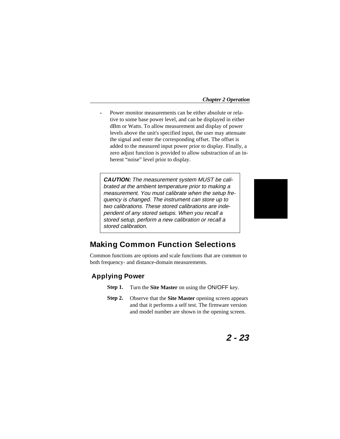• Power monitor measurements can be either absolute or relative to some base power level, and can be displayed in either dBm or Watts. To allow measurement and display of power levels above the unit's specified input, the user may attenuate the signal and enter the corresponding offset. The offset is added to the measured input power prior to display. Finally, a zero adjust function is provided to allow substraction of an inherent "noise" level prior to display.

**CAUTION:** The measurement system MUST be calibrated at the ambient temperature prior to making a measurement. You must calibrate when the setup frequency is changed. The instrument can store up to two calibrations. These stored calibrations are independent of any stored setups. When you recall a stored setup, perform a new calibration or recall a stored calibration.



## **Making Common Function Selections**

Common functions are options and scale functions that are common to both frequency- and distance-domain measurements.

#### **Applying Power**

- **Step 1.** Turn the **Site Master** on using the ON/OFF key.
- **Step 2.** Observe that the **Site Master** opening screen appears and that it performs a self test. The firmware version and model number are shown in the opening screen.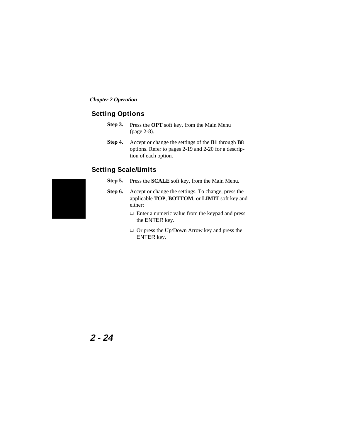*Chapter 2 Operation*

## **Setting Options**

- **Step 3.** Press the **OPT** soft key, from the Main Menu (page 2-8).
- **Step 4.** Accept or change the settings of the **B1** through **B8** options. Refer to pages 2-19 and 2-20 for a description of each option.

## **Setting Scale/Limits**

- **Step 5.** Press the **SCALE** soft key, from the Main Menu.
- **Step 6.** Accept or change the settings. To change, press the applicable **TOP**, **BOTTOM**, or **LIMIT** soft key and either:
	- $\Box$  Enter a numeric value from the keypad and press the ENTER key.
	- □ Or press the Up/Down Arrow key and press the ENTER key.

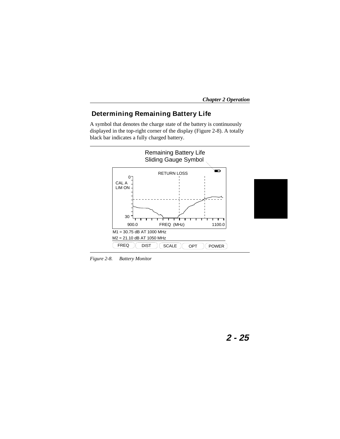# **Determining Remaining Battery Life**

A symbol that denotes the charge state of the battery is continuously displayed in the top-right corner of the display (Figure 2-8). A totally black bar indicates a fully charged battery.



*Figure 2-8. Battery Monitor*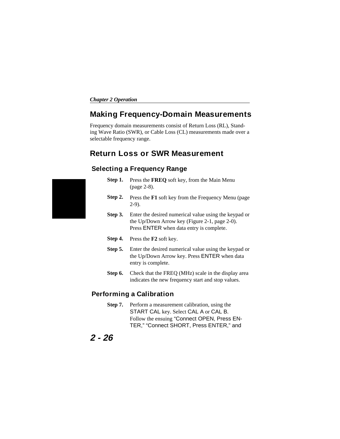# **Making Frequency-Domain Measurements**

Frequency domain measurements consist of Return Loss (RL), Standing Wave Ratio (SWR), or Cable Loss (CL) measurements made over a selectable frequency range.

# **Return Loss or SWR Measurement**

## **Selecting a Frequency Range**

- **Step 1.** Press the **FREQ** soft key, from the Main Menu (page 2-8).
- **Step 2.** Press the **F1** soft key from the Frequency Menu (page 2-9).
- **Step 3.** Enter the desired numerical value using the keypad or the Up/Down Arrow key (Figure 2-1, page 2-0). Press ENTER when data entry is complete.
- **Step 4.** Press the **F2** soft key.
- **Step 5.** Enter the desired numerical value using the keypad or the Up/Down Arrow key. Press ENTER when data entry is complete.
- **Step 6.** Check that the FREQ (MHz) scale in the display area indicates the new frequency start and stop values.

#### **Performing a Calibration**

**Step 7.** Perform a measurement calibration, using the START CAL key. Select CAL A or CAL B. Follow the ensuing "Connect OPEN, Press EN-TER," "Connect SHORT, Press ENTER," and

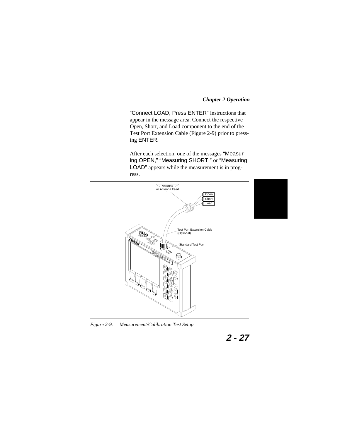*Chapter 2 Operation*

"Connect LOAD, Press ENTER" instructions that appear in the message area. Connect the respective Open, Short, and Load component to the end of the Test Port Extension Cable (Figure 2-9) prior to pressing ENTER.

After each selection, one of the messages "Measuring OPEN," "Measuring SHORT," or "Measuring LOAD" appears while the measurement is in progress.



*Figure 2-9. Measurement/Calibration Test Setup*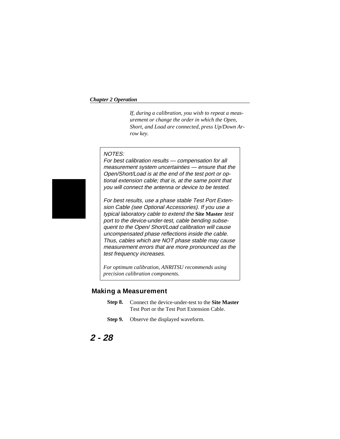*If, during a calibration, you wish to repeat a measurement or change the order in which the Open, Short, and Load are connected, press Up/Down Arrow key.*

#### NOTES:

For best calibration results — compensation for all measurement system uncertainties — ensure that the Open/Short/Load is at the end of the test port or optional extension cable; that is, at the same point that you will connect the antenna or device to be tested.

For best results, use a phase stable Test Port Extension Cable (see Optional Accessories). If you use a typical laboratory cable to extend the **Site Master** test port to the device-under-test, cable bending subsequent to the Open/ Short/Load calibration will cause uncompensated phase reflections inside the cable. Thus, cables which are NOT phase stable may cause measurement errors that are more pronounced as the test frequency increases.

*For optimum calibration, ANRITSU recommends using precision calibration components.*

#### **Making a Measurement**

- **Step 8.** Connect the device-under-test to the **Site Master** Test Port or the Test Port Extension Cable.
- **Step 9.** Observe the displayed waveform.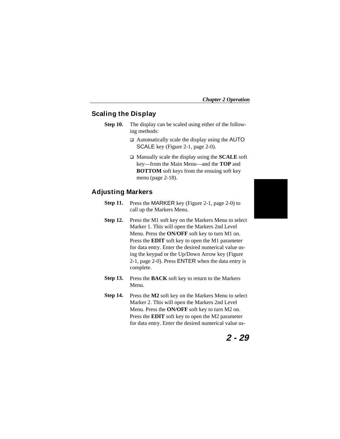## **Scaling the Display**

- **Step 10.** The display can be scaled using either of the following methods:
	- $\Box$  Automatically scale the display using the AUTO SCALE key (Figure 2-1, page 2-0).
	- □ Manually scale the display using the **SCALE** soft key—from the Main Menu—and the **TOP** and **BOTTOM** soft keys from the ensuing soft key menu (page 2-18).

## **Adjusting Markers**

- **Step 11.** Press the MARKER key (Figure 2-1, page 2-0) to call up the Markers Menu.
- **Step 12.** Press the M1 soft key on the Markers Menu to select Marker 1. This will open the Markers 2nd Level Menu. Press the **ON/OFF** soft key to turn M1 on. Press the **EDIT** soft key to open the M1 parameter for data entry. Enter the desired numerical value using the keypad or the Up/Down Arrow key (Figure 2-1, page 2-0). Press ENTER when the data entry is complete.
- **Step 13.** Press the **BACK** soft key to return to the Markers Menu.
- **Step 14.** Press the **M2** soft key on the Markers Menu to select Marker 2. This will open the Markers 2nd Level Menu. Press the **ON/OFF** soft key to turn M2 on. Press the **EDIT** soft key to open the M2 parameter for data entry. Enter the desired numerical value us-



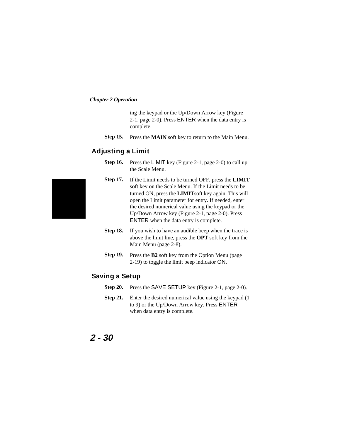*Chapter 2 Operation*

ing the keypad or the Up/Down Arrow key (Figure 2-1, page 2-0). Press ENTER when the data entry is complete.

**Step 15.** Press the **MAIN** soft key to return to the Main Menu.

#### **Adjusting a Limit**

- **Step 16.** Press the LIMIT key (Figure 2-1, page 2-0) to call up the Scale Menu.
- **Step 17.** If the Limit needs to be turned OFF, press the **LIMIT** soft key on the Scale Menu. If the Limit needs to be turned ON, press the **LIMIT**soft key again. This will open the Limit parameter for entry. If needed, enter the desired numerical value using the keypad or the Up/Down Arrow key (Figure 2-1, page 2-0). Press ENTER when the data entry is complete.
- **Step 18.** If you wish to have an audible beep when the trace is above the limit line, press the **OPT** soft key from the Main Menu (page 2-8).
- **Step 19.** Press the **B2** soft key from the Option Menu (page) 2-19) to toggle the limit beep indicator ON.

#### **Saving a Setup**

- **Step 20.** Press the SAVE SETUP key (Figure 2-1, page 2-0).
- **Step 21.** Enter the desired numerical value using the keypad (1) to 9) or the Up/Down Arrow key. Press ENTER when data entry is complete.

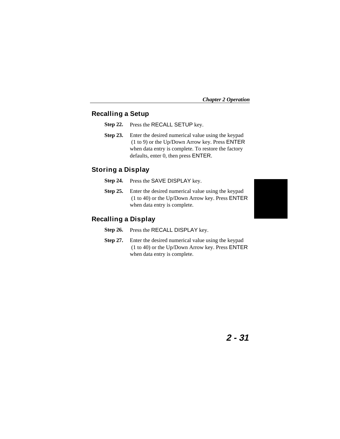## **Recalling a Setup**

- **Step 22.** Press the RECALL SETUP key.
- **Step 23.** Enter the desired numerical value using the keypad (1 to 9) or the Up/Down Arrow key. Press ENTER when data entry is complete. To restore the factory defaults, enter 0, then press ENTER.

## **Storing a Display**

- **Step 24.** Press the SAVE DISPLAY key.
- **Step 25.** Enter the desired numerical value using the keypad (1 to 40) or the Up/Down Arrow key. Press ENTER when data entry is complete.

## **Recalling a Display**

- **Step 26.** Press the RECALL DISPLAY key.
- **Step 27.** Enter the desired numerical value using the keypad (1 to 40) or the Up/Down Arrow key. Press ENTER when data entry is complete.

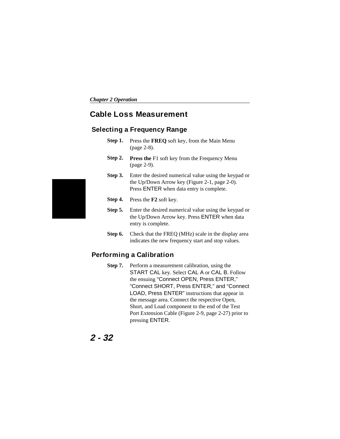## **Cable Loss Measurement**

#### **Selecting a Frequency Range**

- **Step 1.** Press the **FREQ** soft key, from the Main Menu (page 2-8).
- **Step 2. Press the** F1 soft key from the Frequency Menu (page 2-9).
- **Step 3.** Enter the desired numerical value using the keypad or the Up/Down Arrow key (Figure 2-1, page 2-0). Press ENTER when data entry is complete.
- **Step 4.** Press the **F2** soft key.
- **Step 5.** Enter the desired numerical value using the keypad or the Up/Down Arrow key. Press ENTER when data entry is complete.
- **Step 6.** Check that the FREQ (MHz) scale in the display area indicates the new frequency start and stop values.

## **Performing a Calibration**

**Step 7.** Perform a measurement calibration, using the START CAL key. Select CAL A or CAL B. Follow the ensuing "Connect OPEN, Press ENTER," "Connect SHORT, Press ENTER," and "Connect LOAD, Press ENTER" instructions that appear in the message area. Connect the respective Open, Short, and Load component to the end of the Test Port Extension Cable (Figure 2-9, page 2-27) prior to pressing ENTER.

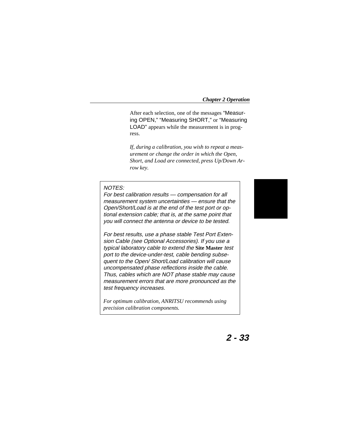After each selection, one of the messages "Measuring OPEN," "Measuring SHORT," or "Measuring LOAD" appears while the measurement is in progress.

*If, during a calibration, you wish to repeat a measurement or change the order in which the Open, Short, and Load are connected, press Up/Down Arrow key.*

#### NOTES:

For best calibration results — compensation for all measurement system uncertainties — ensure that the Open/Short/Load is at the end of the test port or optional extension cable; that is, at the same point that you will connect the antenna or device to be tested.

For best results, use a phase stable Test Port Extension Cable (see Optional Accessories). If you use a typical laboratory cable to extend the **Site Master** test port to the device-under-test, cable bending subsequent to the Open/ Short/Load calibration will cause uncompensated phase reflections inside the cable. Thus, cables which are NOT phase stable may cause measurement errors that are more pronounced as the test frequency increases.

*For optimum calibration, ANRITSU recommends using precision calibration components.*

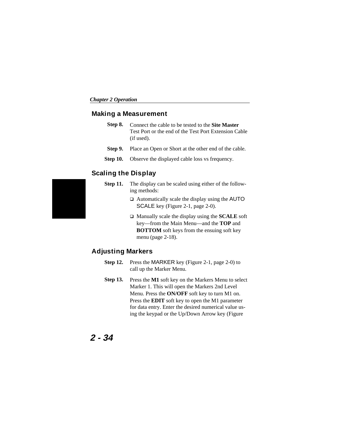*Chapter 2 Operation*

#### **Making a Measurement**

- **Step 8.** Connect the cable to be tested to the **Site Master** Test Port or the end of the Test Port Extension Cable (if used).
- **Step 9.** Place an Open or Short at the other end of the cable.
- **Step 10.** Observe the displayed cable loss vs frequency.

#### **Scaling the Display**

- **Step 11.** The display can be scaled using either of the following methods:
	- $\Box$  Automatically scale the display using the AUTO SCALE key (Figure 2-1, page 2-0).
	- q Manually scale the display using the **SCALE** soft key—from the Main Menu—and the **TOP** and **BOTTOM** soft keys from the ensuing soft key menu (page 2-18).

#### **Adjusting Markers**

- **Step 12.** Press the MARKER key (Figure 2-1, page 2-0) to call up the Marker Menu.
- **Step 13.** Press the **M1** soft key on the Markers Menu to select Marker 1. This will open the Markers 2nd Level Menu. Press the **ON/OFF** soft key to turn M1 on. Press the **EDIT** soft key to open the M1 parameter for data entry. Enter the desired numerical value using the keypad or the Up/Down Arrow key (Figure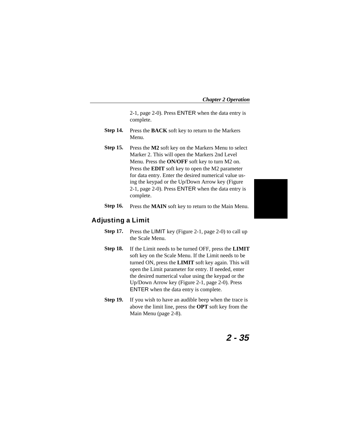2-1, page 2-0). Press ENTER when the data entry is complete.

- **Step 14.** Press the **BACK** soft key to return to the Markers Menu.
- **Step 15.** Press the **M2** soft key on the Markers Menu to select Marker 2. This will open the Markers 2nd Level Menu. Press the **ON/OFF** soft key to turn M2 on. Press the **EDIT** soft key to open the M2 parameter for data entry. Enter the desired numerical value using the keypad or the Up/Down Arrow key (Figure 2-1, page 2-0). Press ENTER when the data entry is complete.



**Step 16.** Press the **MAIN** soft key to return to the Main Menu.

#### **Adjusting a Limit**

- **Step 17.** Press the LIMIT key (Figure 2-1, page 2-0) to call up the Scale Menu.
- **Step 18.** If the Limit needs to be turned OFF, press the **LIMIT** soft key on the Scale Menu. If the Limit needs to be turned ON, press the **LIMIT** soft key again. This will open the Limit parameter for entry. If needed, enter the desired numerical value using the keypad or the Up/Down Arrow key (Figure 2-1, page 2-0). Press ENTER when the data entry is complete.
- **Step 19.** If you wish to have an audible beep when the trace is above the limit line, press the **OPT** soft key from the Main Menu (page 2-8).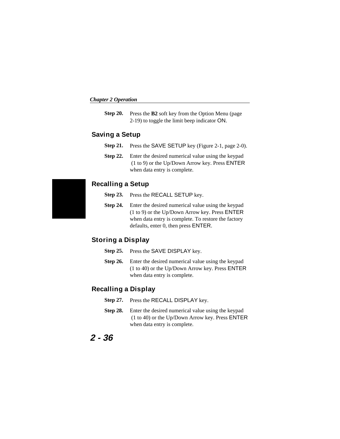*Chapter 2 Operation*

**Step 20.** Press the **B2** soft key from the Option Menu (page 2-19) to toggle the limit beep indicator ON.

#### **Saving a Setup**

- **Step 21.** Press the SAVE SETUP key (Figure 2-1, page 2-0).
- **Step 22.** Enter the desired numerical value using the keypad (1 to 9) or the Up/Down Arrow key. Press ENTER when data entry is complete.

## **Recalling a Setup**

- Step 23. Press the RECALL SETUP key.
- **Step 24.** Enter the desired numerical value using the keypad (1 to 9) or the Up/Down Arrow key. Press ENTER when data entry is complete. To restore the factory defaults, enter 0, then press ENTER.

#### **Storing a Display**

- **Step 25.** Press the SAVE DISPLAY key.
- **Step 26.** Enter the desired numerical value using the keypad (1 to 40) or the Up/Down Arrow key. Press ENTER when data entry is complete.

#### **Recalling a Display**

- **Step 27.** Press the RECALL DISPLAY key.
- **Step 28.** Enter the desired numerical value using the keypad (1 to 40) or the Up/Down Arrow key. Press ENTER when data entry is complete.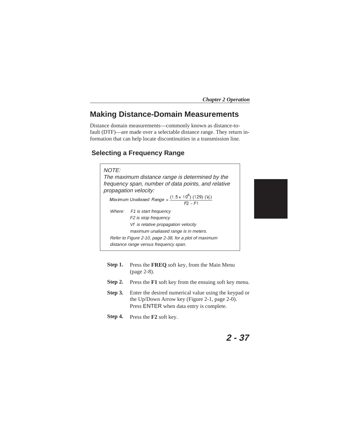# **Making Distance-Domain Measurements**

Distance domain measurements—commonly known as distance-tofault (DTF)—are made over a selectable distance range. They return information that can help locate discontinuities in a transmission line.

#### **Selecting a Frequency Range**





- **Step 1.** Press the **FREQ** soft key, from the Main Menu (page 2-8).
- **Step 2.** Press the **F1** soft key from the ensuing soft key menu.
- **Step 3.** Enter the desired numerical value using the keypad or the Up/Down Arrow key (Figure 2-1, page 2-0). Press ENTER when data entry is complete.
- **Step 4.** Press the **F2** soft key.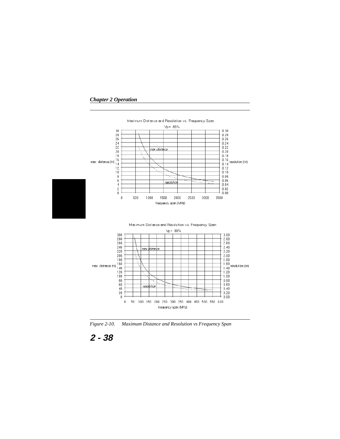

*Figure 2-10. Maximum Distance and Resolution vs Frequency Span*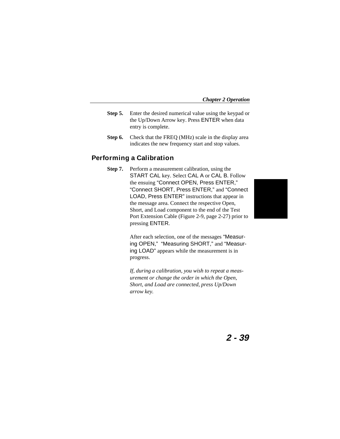- **Step 5.** Enter the desired numerical value using the keypad or the Up/Down Arrow key. Press ENTER when data entry is complete.
- **Step 6.** Check that the FREQ (MHz) scale in the display area indicates the new frequency start and stop values.

#### **Performing a Calibration**

**Step 7.** Perform a measurement calibration, using the START CAL key. Select CAL A or CAL B. Follow the ensuing "Connect OPEN, Press ENTER," "Connect SHORT, Press ENTER," and "Connect LOAD, Press ENTER" instructions that appear in the message area. Connect the respective Open, Short, and Load component to the end of the Test Port Extension Cable (Figure 2-9, page 2-27) prior to pressing ENTER.

After each selection, one of the messages "Measuring OPEN," "Measuring SHORT," and "Measuring LOAD" appears while the measurement is in progress.

*If, during a calibration, you wish to repeat a measurement or change the order in which the Open, Short, and Load are connected, press Up/Down arrow key.*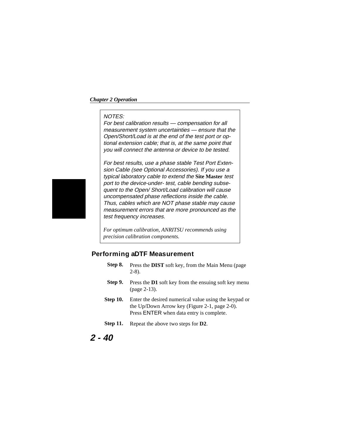#### NOTES:

For best calibration results — compensation for all measurement system uncertainties — ensure that the Open/Short/Load is at the end of the test port or optional extension cable; that is, at the same point that you will connect the antenna or device to be tested.

For best results, use a phase stable Test Port Extension Cable (see Optional Accessories). If you use a typical laboratory cable to extend the **Site Master** test port to the device-under- test, cable bending subsequent to the Open/ Short/Load calibration will cause uncompensated phase reflections inside the cable. Thus, cables which are NOT phase stable may cause measurement errors that are more pronounced as the test frequency increases.

*For optimum calibration, ANRITSU recommends using precision calibration components.*

#### **Performing aDTF Measurement**

- **Step 8.** Press the **DIST** soft key, from the Main Menu (page 2-8).
- **Step 9.** Press the **D1** soft key from the ensuing soft key menu (page 2-13).
- **Step 10.** Enter the desired numerical value using the keypad or the Up/Down Arrow key (Figure 2-1, page 2-0). Press ENTER when data entry is complete.
- **Step 11.** Repeat the above two steps for **D2**.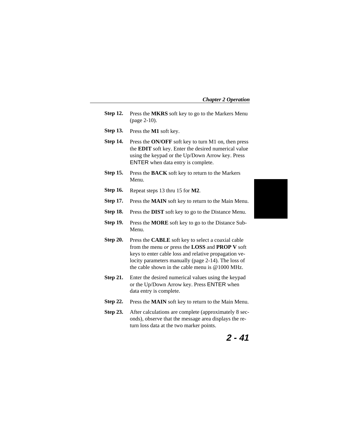| <b>Chapter 2 Operation</b> |  |  |  |
|----------------------------|--|--|--|
|----------------------------|--|--|--|

| <b>Step 12.</b> Press the MKRS soft key to go to the Markers Menu |
|-------------------------------------------------------------------|
| (page 2-10).                                                      |

- **Step 13.** Press the **M1** soft key.
- **Step 14.** Press the **ON/OFF** soft key to turn M1 on, then press the **EDIT** soft key. Enter the desired numerical value using the keypad or the Up/Down Arrow key. Press ENTER when data entry is complete.
- **Step 15.** Press the **BACK** soft key to return to the Markers Menu.
- **Step 16.** Repeat steps 13 thru 15 for **M2**.
- **Step 17.** Press the **MAIN** soft key to return to the Main Menu.
- **Step 18.** Press the **DIST** soft key to go to the Distance Menu.
- **Step 19.** Press the **MORE** soft key to go to the Distance Sub-Menu.
- **Step 20.** Press the **CABLE** soft key to select a coaxial cable from the menu *or* press the **LOSS** and **PROP V** soft keys to enter cable loss and relative propagation velocity parameters manually (page 2-14). The loss of the cable shown in the cable menu is @1000 MHz.
- **Step 21.** Enter the desired numerical values using the keypad or the Up/Down Arrow key. Press ENTER when data entry is complete.
- **Step 22.** Press the **MAIN** soft key to return to the Main Menu.
- **Step 23.** After calculations are complete (approximately 8 seconds), observe that the message area displays the return loss data at the two marker points.



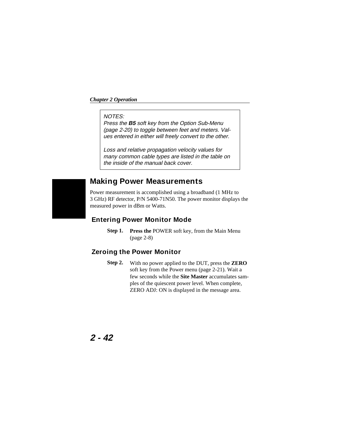#### NOTES:

Press the **B5** soft key from the Option Sub-Menu (page 2-20) to toggle between feet and meters. Values entered in either will freely convert to the other.

Loss and relative propagation velocity values for many common cable types are listed in the table on the inside of the manual back cover.

# **Making Power Measurements**

Power measurement is accomplished using a broadband (1 MHz to 3 GHz) RF detector, P/N 5400-71N50. The power monitor displays the measured power in dBm or Watts.

#### **Entering Power Monitor Mode**

**Step 1. Press the** POWER soft key, from the Main Menu (page 2-8)

### **Zeroing the Power Monitor**

**Step 2.** With no power applied to the DUT, press the **ZERO** soft key from the Power menu (page 2-21). Wait a few seconds while the **Site Master** accumulates samples of the quiescent power level. When complete, ZERO ADJ: ON is displayed in the message area.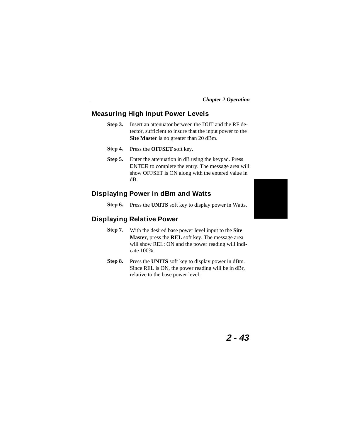#### **Measuring High Input Power Levels**

- **Step 3.** Insert an attenuator between the DUT and the RF detector, sufficient to insure that the input power to the **Site Master** is no greater than 20 dBm.
- **Step 4.** Press the **OFFSET** soft key.
- **Step 5.** Enter the attenuation in dB using the keypad. Press ENTER to complete the entry. The message area will show OFFSET is ON along with the entered value in dB.

## **Displaying Power in dBm and Watts**

**Step 6.** Press the **UNITS** soft key to display power in Watts.

#### **Displaying Relative Power**

- **Step 7.** With the desired base power level input to the **Site Master**, press the **REL** soft key. The message area will show REL: ON and the power reading will indicate 100%.
- **Step 8.** Press the **UNITS** soft key to display power in dBm. Since REL is ON, the power reading will be in dBr, relative to the base power level.

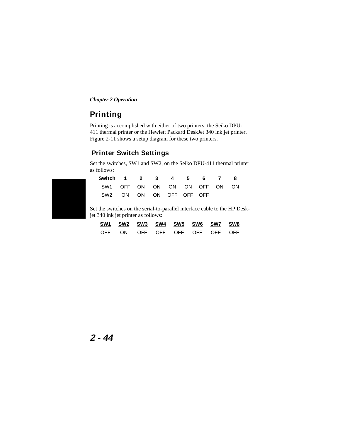# **Printing**

Printing is accomplished with either of two printers: the Seiko DPU-411 thermal printer or the Hewlett Packard DeskJet 340 ink jet printer. Figure 2-11 shows a setup diagram for these two printers.

## **Printer Switch Settings**

Set the switches, SW1 and SW2, on the Seiko DPU-411 thermal printer as follows:



| <u>Switch 1 2 3 4 5 6 7 8</u> |  |  |  |  |
|-------------------------------|--|--|--|--|
| SW1 OFF ON ON ON ON OFF ON ON |  |  |  |  |
| SW2 ON ON ON OFF OFF OFF      |  |  |  |  |

Set the switches on the serial-to-parallel interface cable to the HP Deskjet 340 ink jet printer as follows:

|  |  | SW1 SW2 SW3 SW4 SW5 SW6 SW7 SW8 |  |  |
|--|--|---------------------------------|--|--|
|  |  | OFF ON OFF OFF OFF OFF OFF OFF  |  |  |

**2 - 44**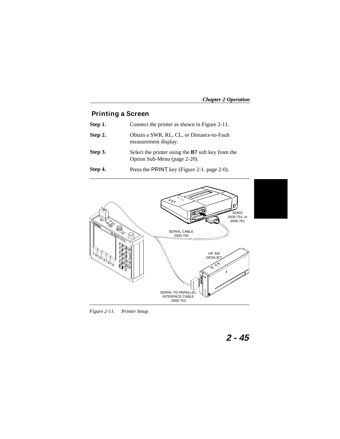# **Printing a Screen**

| Step 1. | Connect the printer as shown in Figure 2-11.                                             |
|---------|------------------------------------------------------------------------------------------|
| Step 2. | Obtain a SWR, RL, CL, or Distance-to-Fault<br>measurement display.                       |
| Step 3. | Select the printer using the <b>B7</b> soft key from the<br>Option Sub-Menu (page 2-20). |
| Step 4. | Press the PRINT key (Figure 2-1. page 2-0).                                              |



*Figure 2-11. Printer Setup*

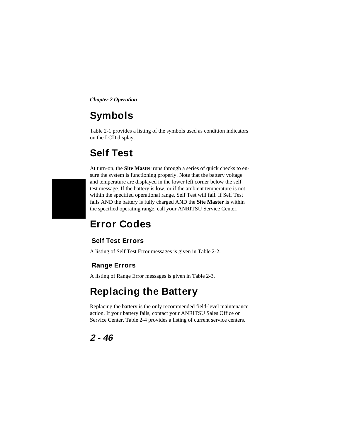# **Symbols**

Table 2-1 provides a listing of the symbols used as condition indicators on the LCD display.

# **Self Test**



# **Error Codes**

## **Self Test Errors**

A listing of Self Test Error messages is given in Table 2-2.

#### **Range Errors**

A listing of Range Error messages is given in Table 2-3.

# **Replacing the Battery**

Replacing the battery is the only recommended field-level maintenance action. If your battery fails, contact your ANRITSU Sales Office or Service Center. Table 2-4 provides a listing of current service centers.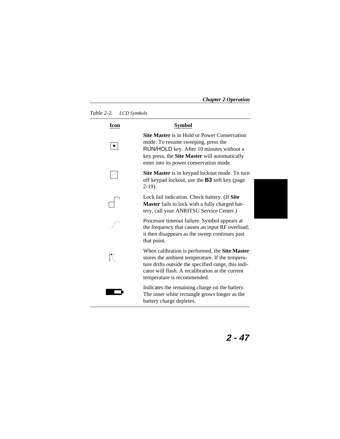*Table 2-2. LCD Symbols*

| <b>Icon</b>               | Symbol                                                                                                                                                                                                                                             |
|---------------------------|----------------------------------------------------------------------------------------------------------------------------------------------------------------------------------------------------------------------------------------------------|
|                           | <b>Site Master</b> is in Hold or Power Conservation<br>mode. To resume sweeping, press the<br>RUN/HOLD key. After 10 minutes without a<br>key press, the Site Master will automatically<br>enter into its power conservation mode.                 |
|                           | Site Master is in keypad lockout mode. To turn<br>off keypad lockout, use the <b>B3</b> soft key (page<br>$2-19$ .                                                                                                                                 |
|                           | Lock fail indication. Check battery. (If Site<br><b>Master</b> fails to lock with a fully charged bat-<br>tery, call your ANRITSU Service Center.)                                                                                                 |
|                           | Processor timeout failure. Symbol appears at<br>the frequency that causes an input RF overload;<br>it then disappears as the sweep continues past<br>that point.                                                                                   |
| $\int_{-\infty}^{\infty}$ | When calibration is performed, the <b>Site Master</b><br>stores the ambient temperature. If the tempera-<br>ture drifts outside the specified range, this indi-<br>cator will flash. A recalibration at the current<br>temperature is recommended. |
|                           | Indicates the remaining charge on the battery.<br>The inner white rectangle grows longer as the<br>battery charge depletes.                                                                                                                        |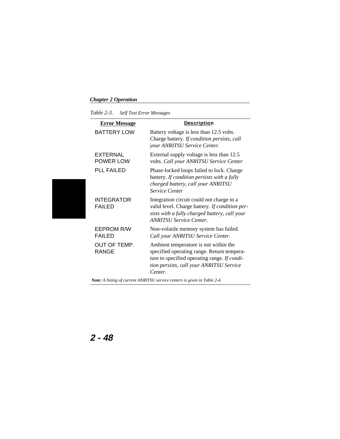*Chapter 2 Operation*

| Table 2-3. | <b>Self Test Error Messages</b> |
|------------|---------------------------------|
|------------|---------------------------------|

| <b>Description</b>                                                                                                                                                                         |
|--------------------------------------------------------------------------------------------------------------------------------------------------------------------------------------------|
| Battery voltage is less than 12.5 volts.<br>Charge battery. If condition persists, call<br>your ANRITSU Service Center.                                                                    |
| External supply voltage is less than 12.5<br>volts. Call your ANRITSU Service Center                                                                                                       |
| Phase-locked loops failed to lock. Charge<br>battery. If condition persists with a fully<br>charged battery, call your ANRITSU<br>Service Center                                           |
| Integration circuit could not charge to a<br>valid level. Charge battery. If condition per-<br>sists with a fully charged battery, call your<br><b>ANRITSU Service Center.</b>             |
| Non-volatile memory system has failed.<br>Call your ANRITSU Service Center.                                                                                                                |
| Ambient temperature is not within the<br>specified operating range. Return tempera-<br>ture to specified operating range. If condi-<br>tion persists, call your ANRITSU Service<br>Center. |
|                                                                                                                                                                                            |

*Note: A listing of current ANRITSU service centers is given in Table 2-4.*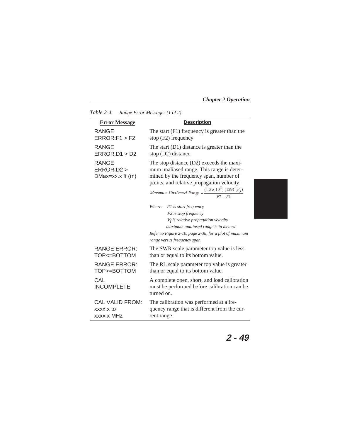| <b>Error Message</b>                        | <b>Description</b>                                                                                                                                                                                                                                         |  |
|---------------------------------------------|------------------------------------------------------------------------------------------------------------------------------------------------------------------------------------------------------------------------------------------------------------|--|
| RANGE                                       | The start $(F1)$ frequency is greater than the                                                                                                                                                                                                             |  |
| ERROR: F1 > F2                              | stop $(F2)$ frequency.                                                                                                                                                                                                                                     |  |
| <b>RANGE</b>                                | The start $(D1)$ distance is greater than the                                                                                                                                                                                                              |  |
| ERROR:D1 > D2                               | stop $(D2)$ distance.                                                                                                                                                                                                                                      |  |
| RANGE<br>ERROR:D2 ><br>$DMax=xx.x$ ft $(m)$ | The stop distance (D2) exceeds the maxi-<br>mum unaliased range. This range is deter-<br>mined by the frequency span, number of<br>points, and relative propagation velocity:<br>Maximum Unaliased Range = $\frac{(1.5 \times 10^8) (129) (V_f)}{F2 - F1}$ |  |
|                                             | Where: $F1$ is start frequency<br>F2 is stop frequency<br>Vf is relative propagation velocity<br>maximum unaliased range is in meters<br>Refer to Figure 2-10, page 2-38, for a plot of maximum<br>range versus frequency span.                            |  |
| <b>RANGE ERROR:</b>                         | The SWR scale parameter top value is less                                                                                                                                                                                                                  |  |
| TOP<=BOTTOM                                 | than or equal to its bottom value.                                                                                                                                                                                                                         |  |
| <b>RANGE ERROR:</b>                         | The RL scale parameter top value is greater                                                                                                                                                                                                                |  |
| TOP>=BOTTOM                                 | than or equal to its bottom value.                                                                                                                                                                                                                         |  |
| CAL<br><b>INCOMPLETE</b>                    | A complete open, short, and load calibration<br>must be performed before calibration can be<br>turned on.                                                                                                                                                  |  |
| <b>CAL VALID FROM:</b>                      | The calibration was performed at a fre-                                                                                                                                                                                                                    |  |
| xxxx.x to                                   | quency range that is different from the cur-                                                                                                                                                                                                               |  |
| <b>XXXX.X MHZ</b>                           | rent range.                                                                                                                                                                                                                                                |  |

*Table 2-4. Range Error Messages (1 of 2)*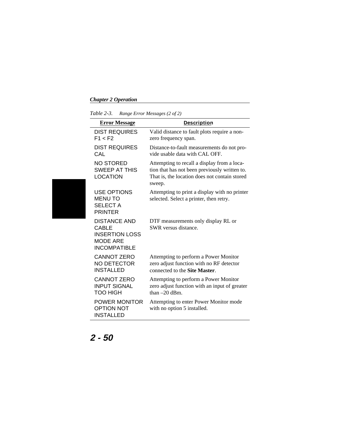*Chapter 2 Operation*

*Table 2-3. Range Error Messages (2 of 2)*

| <b>Error Message</b>                                                                                   | <b>Description</b>                                                                                                                                      |
|--------------------------------------------------------------------------------------------------------|---------------------------------------------------------------------------------------------------------------------------------------------------------|
| <b>DIST REQUIRES</b><br>F1 < F2                                                                        | Valid distance to fault plots require a non-<br>zero frequency span.                                                                                    |
| <b>DIST REQUIRES</b><br>CAL                                                                            | Distance-to-fault measurements do not pro-<br>vide usable data with CAL OFF.                                                                            |
| <b>NO STORED</b><br><b>SWEEP AT THIS</b><br><b>LOCATION</b>                                            | Attempting to recall a display from a loca-<br>tion that has not been previously written to.<br>That is, the location does not contain stored<br>sweep. |
| <b>USE OPTIONS</b><br><b>MENU TO</b><br>SELECT A<br><b>PRINTER</b>                                     | Attempting to print a display with no printer<br>selected. Select a printer, then retry.                                                                |
| <b>DISTANCE AND</b><br><b>CABLE</b><br><b>INSERTION LOSS</b><br><b>MODE ARE</b><br><b>INCOMPATIBLE</b> | DTF measurements only display RL or<br>SWR versus distance.                                                                                             |
| CANNOT ZERO<br><b>NO DETECTOR</b><br><b>INSTALLED</b>                                                  | Attempting to perform a Power Monitor<br>zero adjust function with no RF detector<br>connected to the Site Master.                                      |
| <b>CANNOT ZERO</b><br><b>INPUT SIGNAL</b><br>TOO HIGH                                                  | Attempting to perform a Power Monitor<br>zero adjust function with an input of greater<br>than $-20$ dBm.                                               |
| <b>POWER MONITOR</b><br>OPTION NOT<br>INSTALLED                                                        | Attempting to enter Power Monitor mode<br>with no option 5 installed.                                                                                   |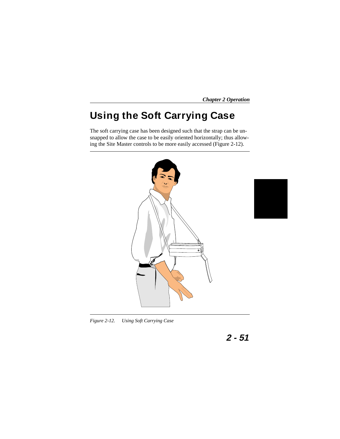# **Using the Soft Carrying Case**

The soft carrying case has been designed such that the strap can be unsnapped to allow the case to be easily oriented horizontally; thus allowing the Site Master controls to be more easily accessed (Figure 2-12).



*Figure 2-12. Using Soft Carrying Case*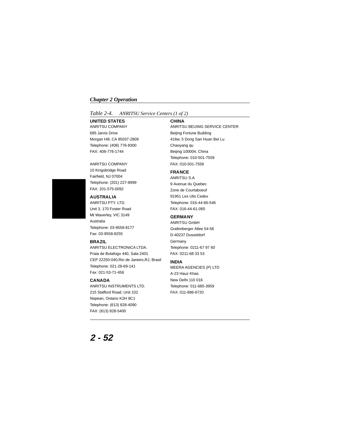#### *Table 2-4. ANRITSU Service Centers (1 of 2)*

**UNITED STATES** ANRITSU COMPANY 685 Jarvis Drive Morgan Hill, CA 95037-2809 Telephone: (408) 776-8300 FAX: 408-776-1744

ANRITSU COMPANY 10 Kingsbridge Road Fairfield, NJ 07004 Telephone: (201) 227-8999 FAX: 201-575-0092

#### **AUSTRALIA**

ANRITSU PTY. LTD. Unit 3, 170 Foster Road Mt Waverley, VIC 3149 Australia Telephone: 03-9558-8177 Fax: 03-9558-8255

#### **BRAZIL**

ANRITSU ELECTRONICA LTDA. Praia de Botafogo 440, Sala 2401 CEP 22250-040,Rio de Janeiro,RJ, Brasil Telephone: 021-28-69-141 Fax: 021-53-71-456

#### **CANADA**

ANRITSU INSTRUMENTS LTD. 215 Stafford Road, Unit 102 Nepean, Ontario K2H 9C1 Telephone: (613) 828-4090 FAX: (613) 828-5400

#### **CHINA**

ANRITSU BEIJING SERVICE CENTER Beijing Fortune Building 416w, 5 Dong San Huan Bei Lu Chaoyang qu Beijing 100004, China Telephone: 010-501-7559 FAX: 010-501-7558

#### **FRANCE**

ANRITSU S.A 9 Avenue du Quebec Zone de Courtaboeuf 91951 Les Ulis Cedex Telephone: 016-44-66-546 FAX: 016-44-61-065

#### **GERMANY**

ANRITSU GmbH Grafenberger Allee 54-56 D-40237 Dusseldorf Germany Telephone: 0211-67 97 60 FAX: 0211-68 33 53

#### **INDIA**

MEERA AGENCIES (P) LTD A-23 Hauz Khas New Delhi 110 016 Telephone: 011-685-3959 FAX: 011-686-6720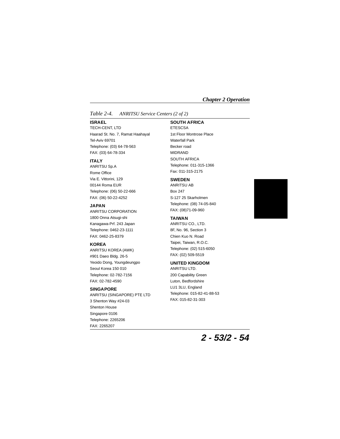#### *Table 2-4. ANRITSU Service Centers (2 of 2)*

#### **ISRAEL**

TECH-CENT, LTD Haarad St. No. 7, Ramat Haahayal Tel-Aviv 69701 Telephone: (03) 64-78-563 FAX: (03) 64-78-334

#### **ITALY**

ANRITSU Sp.A Rome Office Via E. Vittorini, 129 00144 Roma EUR Telephone: (06) 50-22-666 FAX: (06) 50-22-4252

#### **JAPAN**

ANRITSU CORPORATION 1800 Onna Atsugi-shi Kanagawa-Prf. 243 Japan Telephone: 0462-23-1111 FAX: 0462-25-8379

#### **KOREA**

ANRITSU KOREA (AWK) #901 Daeo Bldg. 26-5 Yeoido Dong, Youngdeungpo Seoul Korea 150 010 Telephone: 02-782-7156 FAX: 02-782-4590

#### **SINGAPORE**

ANRITSU (SINGAPORE) PTE LTD 3 Shenton Way #24-03 Shenton House Singapore 0106 Telephone: 2265206 FAX: 2265207

#### **SOUTH AFRICA**

ETESCSA 1st Floor Montrose Place Waterfall Park Becker road MIDRAND SOUTH AFRICA Telephone: 011-315-1366 Fax: 011-315-2175

#### **SWEDEN**

ANRITSU AB Box 247 S-127 25 Skarholmen Telephone: (08) 74-05-840 FAX: (08)71-09-960

#### **TAIWAN**

ANRITSU CO., LTD. 8F, No. 96, Section 3 Chien Kuo N. Road Taipei, Taiwan, R.O.C. Telephone: (02) 515-6050 FAX: (02) 509-5519

#### **UNITED KINGDOM**

ANRITSU LTD. 200 Capability Green Luton, Bedfordshire LU1 3LU, England Telephone: 015-82-41-88-53 FAX: 015-82-31-303



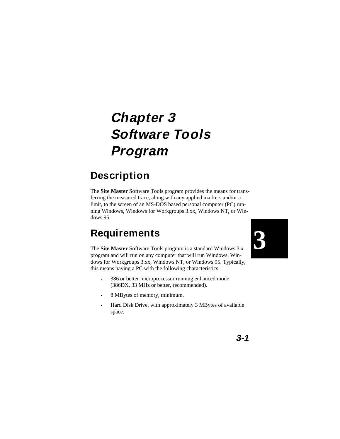# **Chapter 3 Software Tools Program**

# **Description**

The **Site Master** Software Tools program provides the means for transferring the measured trace, along with any applied markers and/or a limit, to the screen of an MS-DOS based personal computer (PC) running Windows, Windows for Workgroups 3.xx, Windows NT, or Windows 95.

# **Requirements**

The **Site Master** Software Tools program is a standard Windows 3.x program and will run on any computer that will run Windows, Windows for Workgroups 3.xx, Windows NT, or Windows 95. Typically, this means having a PC with the following characteristics:

- 386 or better microprocessor running enhanced mode (386DX, 33 MHz or better, recommended).
- 8 MBytes of memory, minimum.
- Hard Disk Drive, with approximately 3 MBytes of available space.

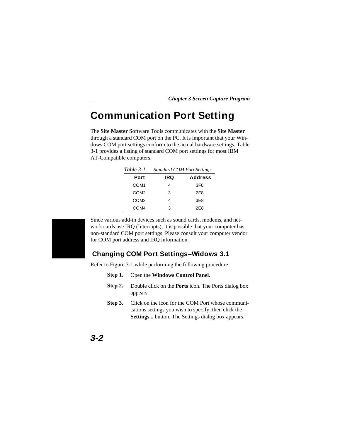*Chapter 3 Screen Capture Program*

# **Communication Port Setting**

The **Site Master** Software Tools communicates with the **Site Master** through a standard COM port on the PC. It is important that your Windows COM port settings conform to the actual hardware settings. Table 3-1 provides a listing of standard COM port settings for most IBM AT-Compatible computers.

| Table 3-1.       | <b>Standard COM Port Settings</b> |                 |  |  |
|------------------|-----------------------------------|-----------------|--|--|
| Port             | IRQ                               | <b>Address</b>  |  |  |
| COM <sub>1</sub> | 4                                 | 3F <sub>8</sub> |  |  |
| COM <sub>2</sub> | 3                                 | 2F <sub>8</sub> |  |  |
| COM <sub>3</sub> | 4                                 | 3E8             |  |  |
| COM <sub>4</sub> | з                                 | 2F <sub>8</sub> |  |  |



Since various add-in devices such as sound cards, modems, and network cards use IRQ (Interrupts), it is possible that your computer has non-standard COM port settings. Please consult your computer vendor for COM port address and IRQ information.

## **Changing COM Port Settings-Widows 3.1**

Refer to Figure 3-1 while performing the following procedure.

- **Step 1.** Open the **Windows Control Panel**.
- **Step 2.** Double click on the **Ports** icon. The Ports dialog box appears.
- **Step 3.** Click on the icon for the COM Port whose communications settings you wish to specify, then click the **Settings...** button. The Settings dialog box appears.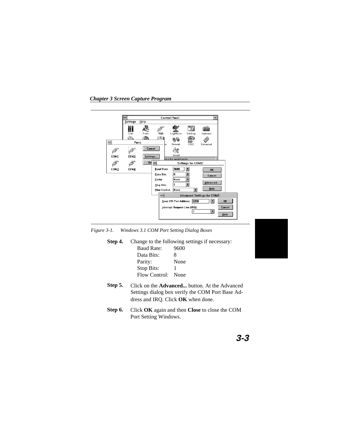

*Chapter 3 Screen Capture Program*

*Figure 3-1. Windows 3.1 COM Port Setting Dialog Boxes*

**Step 4.** Change to the following settings if necessary: Baud Rate: 9600 Data Bits: 8 Parity: None Stop Bits: 1 Flow Control: None

- **Step 5.** Click on the **Advanced...** button. At the Advanced Settings dialog box verify the COM Port Base Address and IRQ. Click **OK** when done.
- **Step 6.** Click **OK** again and then **Close** to close the COM Port Setting Windows.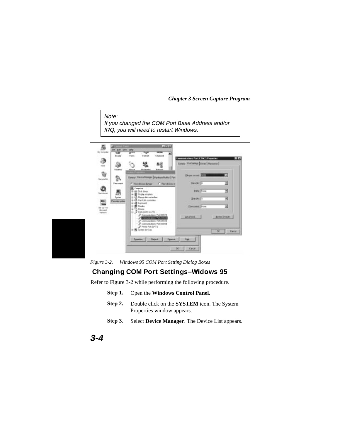



*Figure 3-2. Windows 95 COM Port Setting Dialog Boxes*

## **Changing COM Port Settings-Widows 95**

Refer to Figure 3-2 while performing the following procedure.

- **Step 1.** Open the **Windows Control Panel**.
- **Step 2.** Double click on the **SYSTEM** icon. The System Properties window appears.
- **Step 3.** Select **Device Manager**. The Device List appears.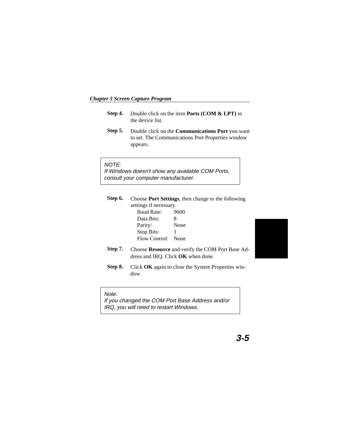- **Step 4.** Double click on the item **Ports (COM & LPT)** in the device list.
- **Step 5.** Double click on the **Communications Port** you want to set. The Communications Port Properties window appears.

## NOTE:

If Windows doesn't show any available COM Ports, consult your computer manufacturer.

- **Step 6.** Choose **Port Settings**, then change to the following settings if necessary.
	- Baud Rate: 9600 Data Bits: 8 Parity: None Stop Bits: 1 Flow Control: None
- **Step 7.** Choose **Resource** and verify the COM Port Base Address and IRQ. Click **OK** when done.
- **Step 8.** Click **OK** again to close the System Properties window.

#### Note:

If you changed the COM Port Base Address and/or IRQ, you will need to restart Windows.



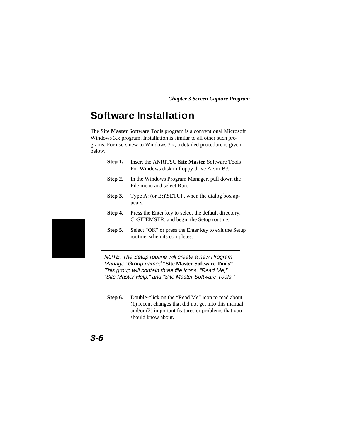# **Software Installation**

The **Site Master** Software Tools program is a conventional Microsoft Windows 3.x program. Installation is similar to all other such programs. For users new to Windows 3.x, a detailed procedure is given below.

| Step 1. | Insert the ANRITSU Site Master Software Tools<br>For Windows disk in floppy drive A:\ or B:\.         |
|---------|-------------------------------------------------------------------------------------------------------|
| Step 2. | In the Windows Program Manager, pull down the<br>File menu and select Run.                            |
| Step 3. | Type A: (or B:) $\setminus$ SETUP, when the dialog box ap-<br>pears.                                  |
| Step 4. | Press the Enter key to select the default directory,<br>C:\SITEMSTR, and begin the Setup routine.     |
| Step 5. | Select "OK" or press the Enter key to exit the Setup<br>routine, when its completes.                  |
|         | NOTE: The Setup routine will create a new Program<br>Manager Group named "Site Mester Softwere Tools" |

Manager Group named **"Site Master Software Tools"**. This group will contain three file icons, "Read Me," "Site Master Help," and "Site Master Software Tools."

**Step 6.** Double-click on the "Read Me" icon to read about (1) recent changes that did not get into this manual and/or (2) important features or problems that you should know about.

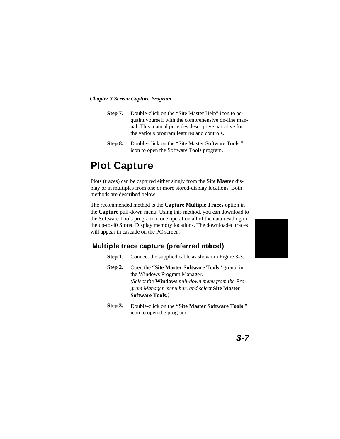- **Step 7.** Double-click on the "Site Master Help" icon to acquaint yourself with the comprehensive on-line manual. This manual provides descriptive narrative for the various program features and controls.
- **Step 8.** Double-click on the "Site Master Software Tools " icon to open the Software Tools program.

# **Plot Capture**

Plots (traces) can be captured either singly from the **Site Master** display or in multiples from one or more stored-display locations. Both methods are described below.

The recommended method is the **Capture Multiple Traces** option in the **Capture** pull-down menu. Using this method, you can download to the Software Tools program in one operation all of the data residing in the up-to-40 Stored Display memory locations. The downloaded traces will appear in cascade on the PC screen.

## **Multiple trace capture (preferred mational)**

- **Step 1.** Connect the supplied cable as shown in Figure 3-3.
- **Step 2.** Open the **"Site Master Software Tools"** group, in the Windows Program Manager. *(Select the* **Windows** *pull-down menu from the Program Manager menu bar, and select* **Site Master Software Tools***.)*
- **Step 3.** Double-click on the **"Site Master Software Tools "** icon to open the program.



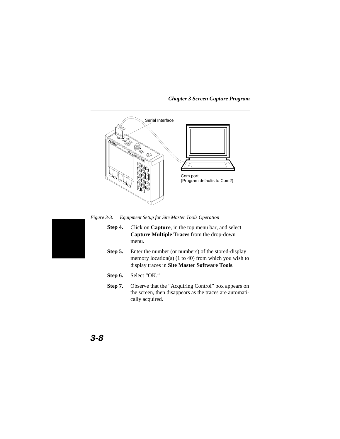



*Figure 3-3. Equipment Setup for Site Master Tools Operation*

- **Step 4.** Click on **Capture**, in the top menu bar, and select **Capture Multiple Traces** from the drop-down menu.
- **Step 5.** Enter the number (or numbers) of the stored-display memory location(s) (1 to 40) from which you wish to display traces in **Site Master Software Tools**.
- **Step 6.** Select "OK."
- **Step 7.** Observe that the "Acquiring Control" box appears on the screen, then disappears as the traces are automatically acquired.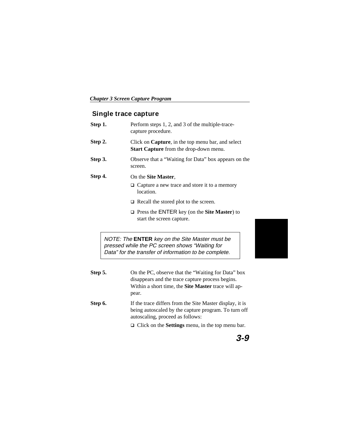## **Single trace capture**

| Step 1. | Perform steps 1, 2, and 3 of the multiple-trace-<br>capture procedure.                                                                                                                                                             |  |
|---------|------------------------------------------------------------------------------------------------------------------------------------------------------------------------------------------------------------------------------------|--|
| Step 2. | Click on <b>Capture</b> , in the top menu bar, and select<br><b>Start Capture</b> from the drop-down menu.                                                                                                                         |  |
| Step 3. | Observe that a "Waiting for Data" box appears on the<br>screen.                                                                                                                                                                    |  |
| Step 4. | On the <b>Site Master</b> ,<br>$\Box$ Capture a new trace and store it to a memory<br>location.<br>$\Box$ Recall the stored plot to the screen.<br>$\Box$ Press the ENTER key (on the Site Master) to<br>start the screen capture. |  |

NOTE: The **ENTER** key on the Site Master must be pressed while the PC screen shows "Waiting for Data" for the transfer of information to be complete.

| Step 5. | On the PC, observe that the "Waiting for Data" box<br>disappears and the trace capture process begins.<br>Within a short time, the Site Master trace will ap-<br>pear.                                                 |
|---------|------------------------------------------------------------------------------------------------------------------------------------------------------------------------------------------------------------------------|
| Step 6. | If the trace differs from the Site Master display, it is<br>being autoscaled by the capture program. To turn off<br>autoscaling, proceed as follows:<br>$\Box$ Click on the <b>Settings</b> menu, in the top menu bar. |

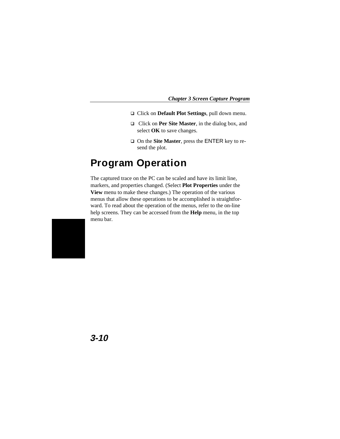- □ Click on **Default Plot Settings**, pull down menu.
- □ Click on **Per Site Master**, in the dialog box, and select **OK** to save changes.
- □ On the **Site Master**, press the **ENTER** key to resend the plot.

# **Program Operation**

The captured trace on the PC can be scaled and have its limit line, markers, and properties changed. (Select **Plot Properties** under the **View** menu to make these changes.) The operation of the various menus that allow these operations to be accomplished is straightforward. To read about the operation of the menus, refer to the on-line help screens. They can be accessed from the **Help** menu, in the top menu bar.

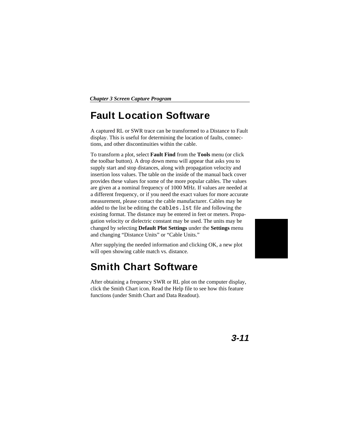## **Fault Location Software**

A captured RL or SWR trace can be transformed to a Distance to Fault display. This is useful for determining the location of faults, connections, and other discontinuities within the cable.

To transform a plot, select **Fault Find** from the **Tools** menu (or click the toolbar button). A drop down menu will appear that asks you to supply start and stop distances, along with propagation velocity and insertion loss values. The table on the inside of the manual back cover provides these values for some of the more popular cables. The values are given at a nominal frequency of 1000 MHz. If values are needed at a different frequency, or if you need the exact values for more accurate measurement, please contact the cable manufacturer. Cables may be added to the list be editing the cables.lst file and following the existing format. The distance may be entered in feet or meters. Propagation velocity or dielectric constant may be used. The units may be changed by selecting **Default Plot Settings** under the **Settings** menu and changing "Distance Units" or "Cable Units."

After supplying the needed information and clicking OK, a new plot will open showing cable match vs. distance.

# **Smith Chart Software**

After obtaining a frequency SWR or RL plot on the computer display, click the Smith Chart icon. Read the Help file to see how this feature functions (under Smith Chart and Data Readout).

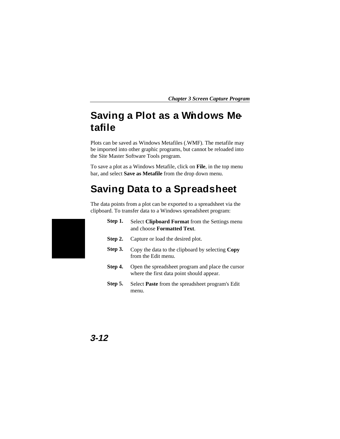# **Saving a Plot as a Windows Metafile**

Plots can be saved as Windows Metafiles (.WMF). The metafile may be imported into other graphic programs, but cannot be reloaded into the Site Master Software Tools program.

To save a plot as a Windows Metafile, click on **File**, in the top menu bar, and select **Save as Metafile** from the drop down menu.

# **Saving Data to a Spreadsheet**

The data points from a plot can be exported to a spreadsheet via the clipboard. To transfer data to a Windows spreadsheet program:



- **Step 1.** Select **Clipboard Format** from the Settings menu and choose **Formatted Text**.
- **Step 2.** Capture or load the desired plot.
- **Step 3.** Copy the data to the clipboard by selecting **Copy** from the Edit menu.
- **Step 4.** Open the spreadsheet program and place the cursor where the first data point should appear.
- **Step 5.** Select **Paste** from the spreadsheet program's Edit menu.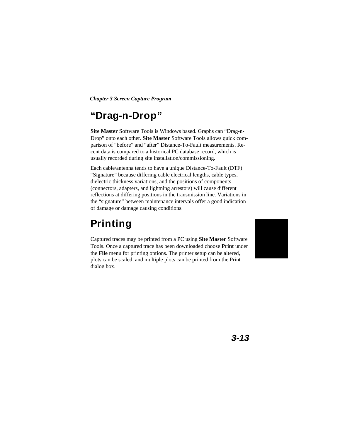# **"Drag-n-Drop"**

**Site Master** Software Tools is Windows based. Graphs can "Drag-n-Drop" onto each other. **Site Master** Software Tools allows quick comparison of "before" and "after" Distance-To-Fault measurements. Recent data is compared to a historical PC database record, which is usually recorded during site installation/commissioning.

Each cable/antenna tends to have a unique Distance-To-Fault (DTF) "Signature" because differing cable electrical lengths, cable types, dielectric thickness variations, and the positions of components (connectors, adapters, and lightning arrestors) will cause different reflections at differing positions in the transmission line. Variations in the "signature" between maintenance intervals offer a good indication of damage or damage causing conditions.

# **Printing**

Captured traces may be printed from a PC using **Site Master** Software Tools. Once a captured trace has been downloaded choose **Print** under the **File** menu for printing options. The printer setup can be altered, plots can be scaled, and multiple plots can be printed from the Print dialog box.

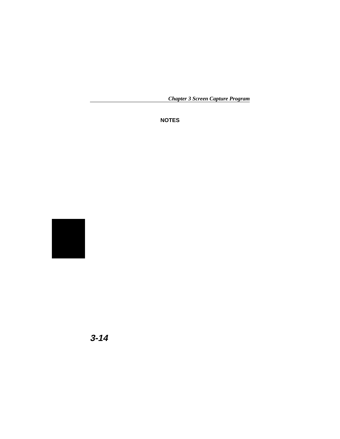**NOTES**



**3-14**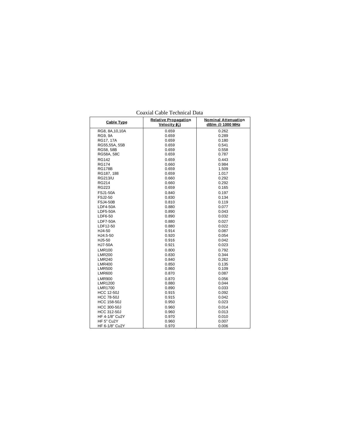| <b>Cable Type</b>  | <b>Relative Propagation</b><br>Velocity $(V_{\epsilon})$ | <b>Nominal Attenuation</b><br>dB/m @ 1000 MHz |
|--------------------|----------------------------------------------------------|-----------------------------------------------|
| RG8, 8A, 10, 10A   | 0.659                                                    | 0.262                                         |
| <b>RG9, 9A</b>     | 0.659                                                    | 0.289                                         |
| RG17, 17A          | 0.659                                                    | 0.180                                         |
| RG55,55A, 55B      | 0.659                                                    | 0.541                                         |
| RG58, 58B          | 0.659                                                    | 0.558                                         |
| RG58A, 58C         | 0.659                                                    | 0.787                                         |
| RG142              | 0.659                                                    | 0.443                                         |
| <b>RG174</b>       | 0.660                                                    | 0.984                                         |
| <b>RG178B</b>      | 0.659                                                    | 1.509                                         |
| RG187, 188         | 0.659                                                    | 1.017                                         |
| RG213/U            | 0.660                                                    | 0.292                                         |
| RG214              | 0.660                                                    | 0.292                                         |
| RG223              | 0.659                                                    | 0.165                                         |
| <b>FSJ1-50A</b>    | 0.840                                                    | 0.197                                         |
| FSJ2-50            | 0.830                                                    | 0.134                                         |
| <b>FSJ4-50B</b>    | 0.810                                                    | 0.119                                         |
| LDF4-50A           | 0.880                                                    | 0.077                                         |
| LDF5-50A           | 0.890                                                    | 0.043                                         |
| LDF6-50            | 0.890                                                    | 0.032                                         |
| <b>LDF7-50A</b>    | 0.880                                                    | 0.027                                         |
| LDF12-50           | 0.880                                                    | 0.022                                         |
| HJ4-50             | 0.914                                                    | 0.087                                         |
| HJ4.5-50           | 0.920                                                    | 0.054                                         |
| HJ5-50             | 0.916                                                    | 0.042                                         |
| <b>HJ7-50A</b>     | 0.921                                                    | 0.023                                         |
| LMR100             | 0.800                                                    | 0.792                                         |
| <b>LMR200</b>      | 0.830                                                    | 0.344                                         |
| <b>LMR240</b>      | 0.840                                                    | 0.262                                         |
| <b>LMR400</b>      | 0.850                                                    | 0.135                                         |
| <b>LMR500</b>      | 0.860                                                    | 0.109                                         |
| <b>LMR600</b>      | 0.870                                                    | 0.087                                         |
| <b>LMR900</b>      | 0.870                                                    | 0.056                                         |
| LMR1200            | 0.880                                                    | 0.044                                         |
| <b>LMR1700</b>     | 0.890                                                    | 0.033                                         |
| <b>HCC 12-50J</b>  | 0.915                                                    | 0.092                                         |
| <b>HCC 78-50J</b>  | 0.915                                                    | 0.042                                         |
| <b>HCC 158-50J</b> | 0.950                                                    | 0.023                                         |
| <b>HCC 300-50J</b> | 0.960                                                    | 0.014                                         |
| <b>HCC 312-50J</b> | 0.960                                                    | 0.013                                         |
| HF 4-1/8" Cu2Y     | 0.970                                                    | 0.010                                         |
| HF 5" Cu2Y         | 0.960                                                    | 0.007                                         |
| HF 6-1/8" Cu2Y     | 0.970                                                    | 0.006                                         |

Coaxial Cable Technical Data